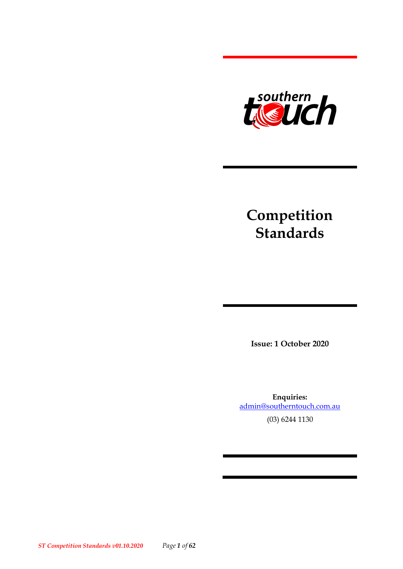

# **Competition Standards**

**Issue: 1 October 2020**

**Enquiries:**  [admin@southerntouch.com.au](mailto:admin@southerntouch.com.au) (03) 6244 1130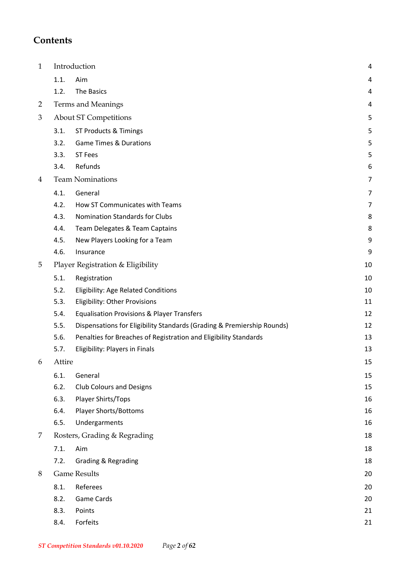### **Contents**

| $\mathbf{1}$   | Introduction |                                                                        |    |  |  |  |
|----------------|--------------|------------------------------------------------------------------------|----|--|--|--|
|                | 1.1.         | Aim                                                                    | 4  |  |  |  |
|                | 1.2.         | <b>The Basics</b>                                                      | 4  |  |  |  |
| $\overline{2}$ |              | Terms and Meanings                                                     | 4  |  |  |  |
| 3              |              | <b>About ST Competitions</b>                                           | 5  |  |  |  |
|                | 3.1.         | ST Products & Timings                                                  | 5  |  |  |  |
|                | 3.2.         | <b>Game Times &amp; Durations</b>                                      | 5  |  |  |  |
|                | 3.3.         | ST Fees                                                                | 5  |  |  |  |
|                | 3.4.         | Refunds                                                                | 6  |  |  |  |
| 4              |              | <b>Team Nominations</b>                                                | 7  |  |  |  |
|                | 4.1.         | General                                                                | 7  |  |  |  |
|                | 4.2.         | How ST Communicates with Teams                                         | 7  |  |  |  |
|                | 4.3.         | <b>Nomination Standards for Clubs</b>                                  | 8  |  |  |  |
|                | 4.4.         | Team Delegates & Team Captains                                         | 8  |  |  |  |
|                | 4.5.         | New Players Looking for a Team                                         | 9  |  |  |  |
|                | 4.6.         | Insurance                                                              | 9  |  |  |  |
| 5              |              | Player Registration & Eligibility                                      | 10 |  |  |  |
|                | 5.1.         | Registration                                                           | 10 |  |  |  |
|                | 5.2.         | Eligibility: Age Related Conditions                                    | 10 |  |  |  |
|                | 5.3.         | <b>Eligibility: Other Provisions</b>                                   | 11 |  |  |  |
|                | 5.4.         | <b>Equalisation Provisions &amp; Player Transfers</b>                  | 12 |  |  |  |
|                | 5.5.         | Dispensations for Eligibility Standards (Grading & Premiership Rounds) | 12 |  |  |  |
|                | 5.6.         | Penalties for Breaches of Registration and Eligibility Standards       | 13 |  |  |  |
|                | 5.7.         | <b>Eligibility: Players in Finals</b>                                  | 13 |  |  |  |
| 6              | Attire       |                                                                        | 15 |  |  |  |
|                | 6.1.         | General                                                                | 15 |  |  |  |
|                | 6.2.         | <b>Club Colours and Designs</b>                                        | 15 |  |  |  |
|                | 6.3.         | Player Shirts/Tops                                                     | 16 |  |  |  |
|                | 6.4.         | <b>Player Shorts/Bottoms</b>                                           | 16 |  |  |  |
|                | 6.5.         | Undergarments                                                          | 16 |  |  |  |
| 7              |              | Rosters, Grading & Regrading                                           | 18 |  |  |  |
|                | 7.1.         | Aim                                                                    | 18 |  |  |  |
|                | 7.2.         | <b>Grading &amp; Regrading</b>                                         | 18 |  |  |  |
| 8              |              | <b>Game Results</b>                                                    | 20 |  |  |  |
|                | 8.1.         | Referees                                                               | 20 |  |  |  |
|                | 8.2.         | <b>Game Cards</b>                                                      | 20 |  |  |  |
|                | 8.3.         | Points                                                                 | 21 |  |  |  |
|                | 8.4.         | Forfeits                                                               | 21 |  |  |  |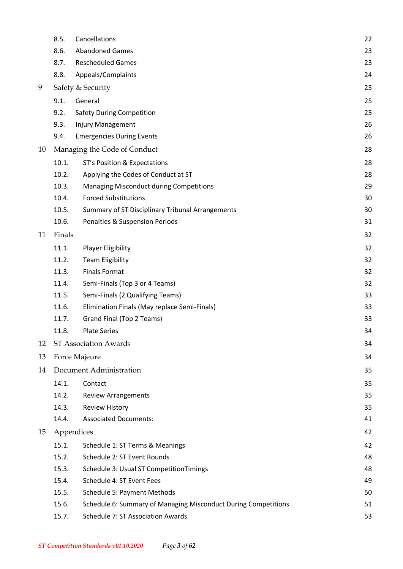|    | 8.5.       | Cancellations                                                  | 22 |
|----|------------|----------------------------------------------------------------|----|
|    | 8.6.       | <b>Abandoned Games</b>                                         | 23 |
|    | 8.7.       | <b>Rescheduled Games</b>                                       | 23 |
|    | 8.8.       | Appeals/Complaints                                             | 24 |
| 9  |            | Safety & Security                                              | 25 |
|    | 9.1.       | General                                                        | 25 |
|    | 9.2.       | <b>Safety During Competition</b>                               | 25 |
|    | 9.3.       | <b>Injury Management</b>                                       | 26 |
|    | 9.4.       | <b>Emergencies During Events</b>                               | 26 |
| 10 |            | Managing the Code of Conduct                                   | 28 |
|    | 10.1.      | ST's Position & Expectations                                   | 28 |
|    | 10.2.      | Applying the Codes of Conduct at ST                            | 28 |
|    | 10.3.      | <b>Managing Misconduct during Competitions</b>                 | 29 |
|    | 10.4.      | <b>Forced Substitutions</b>                                    | 30 |
|    | 10.5.      | Summary of ST Disciplinary Tribunal Arrangements               | 30 |
|    | 10.6.      | <b>Penalties &amp; Suspension Periods</b>                      | 31 |
| 11 | Finals     |                                                                | 32 |
|    | 11.1.      | <b>Player Eligibility</b>                                      | 32 |
|    | 11.2.      | <b>Team Eligibility</b>                                        | 32 |
|    | 11.3.      | <b>Finals Format</b>                                           | 32 |
|    | 11.4.      | Semi-Finals (Top 3 or 4 Teams)                                 | 32 |
|    | 11.5.      | Semi-Finals (2 Qualifying Teams)                               | 33 |
|    | 11.6.      | Elimination Finals (May replace Semi-Finals)                   | 33 |
|    | 11.7.      | Grand Final (Top 2 Teams)                                      | 33 |
|    | 11.8.      | <b>Plate Series</b>                                            | 34 |
| 12 |            | ST Association Awards                                          | 34 |
| 13 |            | Force Majeure                                                  | 34 |
| 14 |            | Document Administration                                        | 35 |
|    | 14.1.      | Contact                                                        | 35 |
|    | 14.2.      | <b>Review Arrangements</b>                                     | 35 |
|    | 14.3.      | <b>Review History</b>                                          | 35 |
|    | 14.4.      | <b>Associated Documents:</b>                                   | 41 |
| 15 | Appendices |                                                                | 42 |
|    | 15.1.      | Schedule 1: ST Terms & Meanings                                | 42 |
|    | 15.2.      | Schedule 2: ST Event Rounds                                    | 48 |
|    | 15.3.      | Schedule 3: Usual ST Competition Timings                       | 48 |
|    | 15.4.      | Schedule 4: ST Event Fees                                      | 49 |
|    | 15.5.      | <b>Schedule 5: Payment Methods</b>                             | 50 |
|    | 15.6.      | Schedule 6: Summary of Managing Misconduct During Competitions | 51 |
|    | 15.7.      | Schedule 7: ST Association Awards                              | 53 |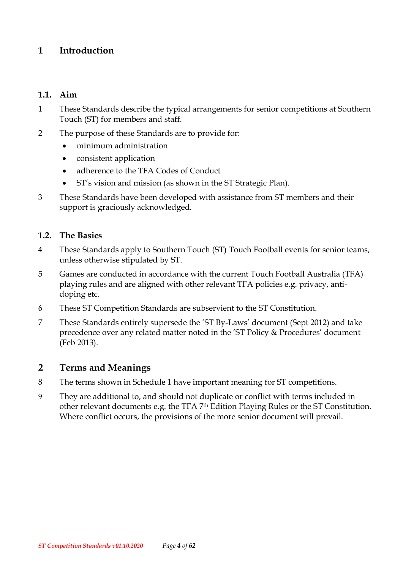### <span id="page-3-0"></span>**1 Introduction**

#### <span id="page-3-1"></span>**1.1. Aim**

- 1 These Standards describe the typical arrangements for senior competitions at Southern Touch (ST) for members and staff.
- 2 The purpose of these Standards are to provide for:
	- minimum administration
	- consistent application
	- adherence to the TFA Codes of Conduct
	- ST's vision and mission (as shown in the ST Strategic Plan).
- 3 These Standards have been developed with assistance from ST members and their support is graciously acknowledged.

#### <span id="page-3-2"></span>**1.2. The Basics**

- 4 These Standards apply to Southern Touch (ST) Touch Football events for senior teams, unless otherwise stipulated by ST.
- 5 Games are conducted in accordance with the current Touch Football Australia (TFA) playing rules and are aligned with other relevant TFA policies e.g. privacy, antidoping etc.
- 6 These ST Competition Standards are subservient to the ST Constitution.
- 7 These Standards entirely supersede the 'ST By-Laws' document (Sept 2012) and take precedence over any related matter noted in the 'ST Policy & Procedures' document (Feb 2013).

### <span id="page-3-3"></span>**2 Terms and Meanings**

- 8 The terms shown in Schedule 1 have important meaning for ST competitions.
- 9 They are additional to, and should not duplicate or conflict with terms included in other relevant documents e.g. the TFA 7<sup>th</sup> Edition Playing Rules or the ST Constitution. Where conflict occurs, the provisions of the more senior document will prevail.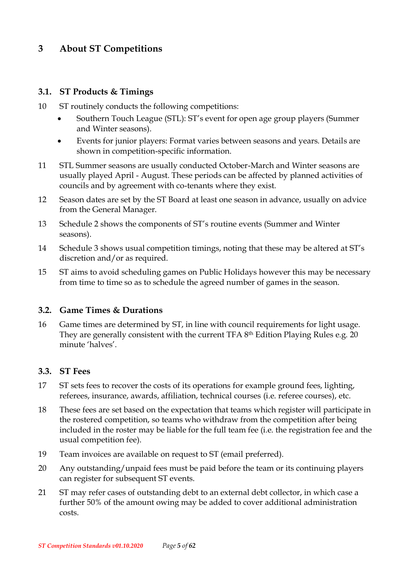### <span id="page-4-0"></span>**3 About ST Competitions**

#### <span id="page-4-1"></span>**3.1. ST Products & Timings**

- 10 ST routinely conducts the following competitions:
	- Southern Touch League (STL): ST's event for open age group players (Summer and Winter seasons).
	- Events for junior players: Format varies between seasons and years. Details are shown in competition-specific information.
- 11 STL Summer seasons are usually conducted October-March and Winter seasons are usually played April - August. These periods can be affected by planned activities of councils and by agreement with co-tenants where they exist.
- 12 Season dates are set by the ST Board at least one season in advance, usually on advice from the General Manager.
- 13 Schedule 2 shows the components of ST's routine events (Summer and Winter seasons).
- 14 Schedule 3 shows usual competition timings, noting that these may be altered at ST's discretion and/or as required.
- 15 ST aims to avoid scheduling games on Public Holidays however this may be necessary from time to time so as to schedule the agreed number of games in the season.

#### <span id="page-4-2"></span>**3.2. Game Times & Durations**

16 Game times are determined by ST, in line with council requirements for light usage. They are generally consistent with the current TFA 8 th Edition Playing Rules e.g. 20 minute 'halves'.

#### <span id="page-4-3"></span>**3.3. ST Fees**

- 17 ST sets fees to recover the costs of its operations for example ground fees, lighting, referees, insurance, awards, affiliation, technical courses (i.e. referee courses), etc.
- 18 These fees are set based on the expectation that teams which register will participate in the rostered competition, so teams who withdraw from the competition after being included in the roster may be liable for the full team fee (i.e. the registration fee and the usual competition fee).
- 19 Team invoices are available on request to ST (email preferred).
- 20 Any outstanding/unpaid fees must be paid before the team or its continuing players can register for subsequent ST events.
- 21 ST may refer cases of outstanding debt to an external debt collector, in which case a further 50% of the amount owing may be added to cover additional administration costs.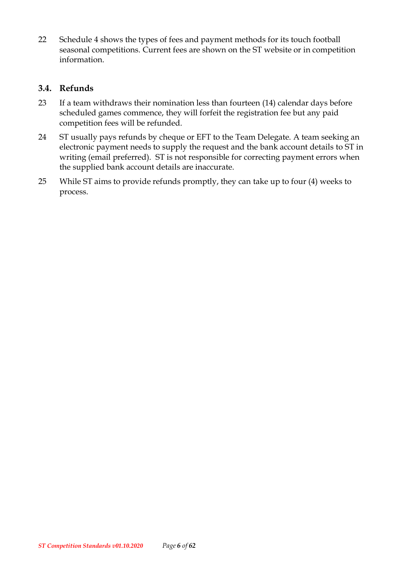22 Schedule 4 shows the types of fees and payment methods for its touch football seasonal competitions. Current fees are shown on the ST website or in competition information.

#### <span id="page-5-0"></span>**3.4. Refunds**

- 23 If a team withdraws their nomination less than fourteen (14) calendar days before scheduled games commence, they will forfeit the registration fee but any paid competition fees will be refunded.
- 24 ST usually pays refunds by cheque or EFT to the Team Delegate. A team seeking an electronic payment needs to supply the request and the bank account details to ST in writing (email preferred). ST is not responsible for correcting payment errors when the supplied bank account details are inaccurate.
- 25 While ST aims to provide refunds promptly, they can take up to four (4) weeks to process.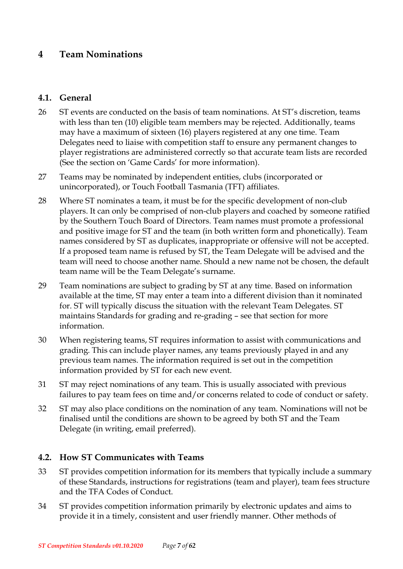### <span id="page-6-0"></span>**4 Team Nominations**

#### <span id="page-6-1"></span>**4.1. General**

- 26 ST events are conducted on the basis of team nominations. At ST's discretion, teams with less than ten (10) eligible team members may be rejected. Additionally, teams may have a maximum of sixteen (16) players registered at any one time. Team Delegates need to liaise with competition staff to ensure any permanent changes to player registrations are administered correctly so that accurate team lists are recorded (See the section on 'Game Cards' for more information).
- 27 Teams may be nominated by independent entities, clubs (incorporated or unincorporated), or Touch Football Tasmania (TFT) affiliates.
- 28 Where ST nominates a team, it must be for the specific development of non-club players. It can only be comprised of non-club players and coached by someone ratified by the Southern Touch Board of Directors. Team names must promote a professional and positive image for ST and the team (in both written form and phonetically). Team names considered by ST as duplicates, inappropriate or offensive will not be accepted. If a proposed team name is refused by ST, the Team Delegate will be advised and the team will need to choose another name. Should a new name not be chosen, the default team name will be the Team Delegate's surname.
- 29 Team nominations are subject to grading by ST at any time. Based on information available at the time, ST may enter a team into a different division than it nominated for. ST will typically discuss the situation with the relevant Team Delegates. ST maintains Standards for grading and re-grading – see that section for more information.
- 30 When registering teams, ST requires information to assist with communications and grading. This can include player names, any teams previously played in and any previous team names. The information required is set out in the competition information provided by ST for each new event.
- 31 ST may reject nominations of any team. This is usually associated with previous failures to pay team fees on time and/or concerns related to code of conduct or safety.
- 32 ST may also place conditions on the nomination of any team. Nominations will not be finalised until the conditions are shown to be agreed by both ST and the Team Delegate (in writing, email preferred).

#### <span id="page-6-2"></span>**4.2. How ST Communicates with Teams**

- 33 ST provides competition information for its members that typically include a summary of these Standards, instructions for registrations (team and player), team fees structure and the TFA Codes of Conduct.
- 34 ST provides competition information primarily by electronic updates and aims to provide it in a timely, consistent and user friendly manner. Other methods of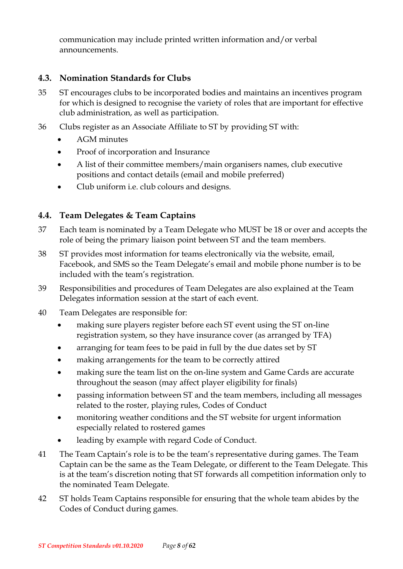communication may include printed written information and/or verbal announcements.

#### <span id="page-7-0"></span>**4.3. Nomination Standards for Clubs**

- 35 ST encourages clubs to be incorporated bodies and maintains an incentives program for which is designed to recognise the variety of roles that are important for effective club administration, as well as participation.
- 36 Clubs register as an Associate Affiliate to ST by providing ST with:
	- AGM minutes
	- Proof of incorporation and Insurance
	- A list of their committee members/main organisers names, club executive positions and contact details (email and mobile preferred)
	- Club uniform i.e. club colours and designs.

### <span id="page-7-1"></span>**4.4. Team Delegates & Team Captains**

- 37 Each team is nominated by a Team Delegate who MUST be 18 or over and accepts the role of being the primary liaison point between ST and the team members.
- 38 ST provides most information for teams electronically via the website, email, Facebook, and SMS so the Team Delegate's email and mobile phone number is to be included with the team's registration.
- 39 Responsibilities and procedures of Team Delegates are also explained at the Team Delegates information session at the start of each event.
- 40 Team Delegates are responsible for:
	- making sure players register before each ST event using the ST on-line registration system, so they have insurance cover (as arranged by TFA)
	- arranging for team fees to be paid in full by the due dates set by ST
	- making arrangements for the team to be correctly attired
	- making sure the team list on the on-line system and Game Cards are accurate throughout the season (may affect player eligibility for finals)
	- passing information between ST and the team members, including all messages related to the roster, playing rules, Codes of Conduct
	- monitoring weather conditions and the ST website for urgent information especially related to rostered games
	- leading by example with regard Code of Conduct.
- 41 The Team Captain's role is to be the team's representative during games. The Team Captain can be the same as the Team Delegate, or different to the Team Delegate. This is at the team's discretion noting that ST forwards all competition information only to the nominated Team Delegate.
- 42 ST holds Team Captains responsible for ensuring that the whole team abides by the Codes of Conduct during games.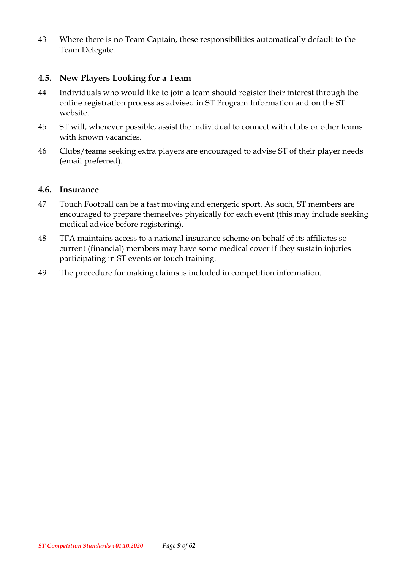43 Where there is no Team Captain, these responsibilities automatically default to the Team Delegate.

#### <span id="page-8-0"></span>**4.5. New Players Looking for a Team**

- 44 Individuals who would like to join a team should register their interest through the online registration process as advised in ST Program Information and on the ST website.
- 45 ST will, wherever possible, assist the individual to connect with clubs or other teams with known vacancies.
- 46 Clubs/teams seeking extra players are encouraged to advise ST of their player needs (email preferred).

#### <span id="page-8-1"></span>**4.6. Insurance**

- 47 Touch Football can be a fast moving and energetic sport. As such, ST members are encouraged to prepare themselves physically for each event (this may include seeking medical advice before registering).
- 48 TFA maintains access to a national insurance scheme on behalf of its affiliates so current (financial) members may have some medical cover if they sustain injuries participating in ST events or touch training.
- 49 The procedure for making claims is included in competition information.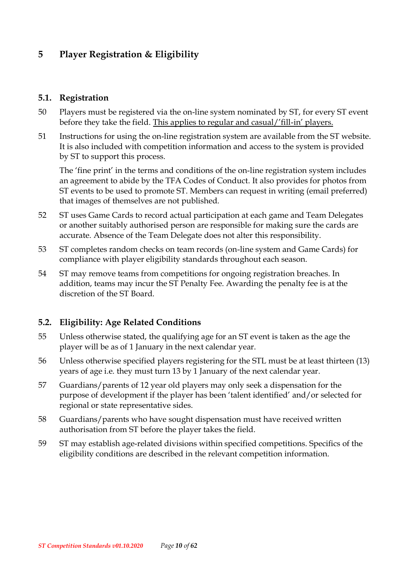# <span id="page-9-0"></span>**5 Player Registration & Eligibility**

#### <span id="page-9-1"></span>**5.1. Registration**

- 50 Players must be registered via the on-line system nominated by ST, for every ST event before they take the field. This applies to regular and casual/'fill-in' players.
- 51 Instructions for using the on-line registration system are available from the ST website. It is also included with competition information and access to the system is provided by ST to support this process.

The 'fine print' in the terms and conditions of the on-line registration system includes an agreement to abide by the TFA Codes of Conduct. It also provides for photos from ST events to be used to promote ST. Members can request in writing (email preferred) that images of themselves are not published.

- 52 ST uses Game Cards to record actual participation at each game and Team Delegates or another suitably authorised person are responsible for making sure the cards are accurate. Absence of the Team Delegate does not alter this responsibility.
- 53 ST completes random checks on team records (on-line system and Game Cards) for compliance with player eligibility standards throughout each season.
- 54 ST may remove teams from competitions for ongoing registration breaches. In addition, teams may incur the ST Penalty Fee. Awarding the penalty fee is at the discretion of the ST Board.

### <span id="page-9-2"></span>**5.2. Eligibility: Age Related Conditions**

- 55 Unless otherwise stated, the qualifying age for an ST event is taken as the age the player will be as of 1 January in the next calendar year.
- 56 Unless otherwise specified players registering for the STL must be at least thirteen (13) years of age i.e. they must turn 13 by 1 January of the next calendar year.
- 57 Guardians/parents of 12 year old players may only seek a dispensation for the purpose of development if the player has been 'talent identified' and/or selected for regional or state representative sides.
- 58 Guardians/parents who have sought dispensation must have received written authorisation from ST before the player takes the field.
- 59 ST may establish age-related divisions within specified competitions. Specifics of the eligibility conditions are described in the relevant competition information.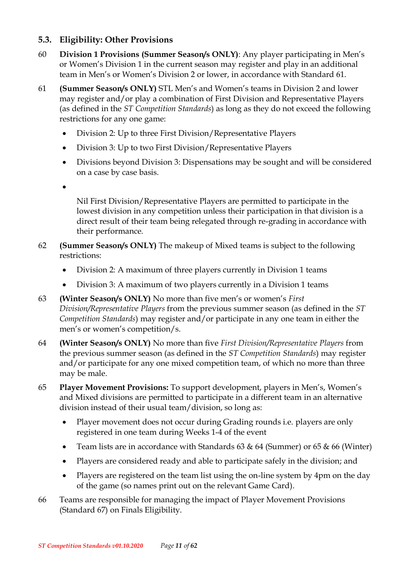### <span id="page-10-0"></span>**5.3. Eligibility: Other Provisions**

- 60 **Division 1 Provisions (Summer Season/s ONLY)**: Any player participating in Men's or Women's Division 1 in the current season may register and play in an additional team in Men's or Women's Division 2 or lower, in accordance with Standard 61.
- 61 **(Summer Season/s ONLY)** STL Men's and Women's teams in Division 2 and lower may register and/or play a combination of First Division and Representative Players (as defined in the *ST Competition Standards*) as long as they do not exceed the following restrictions for any one game:
	- Division 2: Up to three First Division/Representative Players
	- Division 3: Up to two First Division/Representative Players
	- Divisions beyond Division 3: Dispensations may be sought and will be considered on a case by case basis.
	- •

Nil First Division/Representative Players are permitted to participate in the lowest division in any competition unless their participation in that division is a direct result of their team being relegated through re-grading in accordance with their performance.

- 62 **(Summer Season/s ONLY)** The makeup of Mixed teams is subject to the following restrictions:
	- Division 2: A maximum of three players currently in Division 1 teams
	- Division 3: A maximum of two players currently in a Division 1 teams
- 63 **(Winter Season/s ONLY)** No more than five men's or women's *First Division/Representative Players* from the previous summer season (as defined in the *ST Competition Standards*) may register and/or participate in any one team in either the men's or women's competition/s.
- 64 **(Winter Season/s ONLY)** No more than five *First Division/Representative Players* from the previous summer season (as defined in the *ST Competition Standards*) may register and/or participate for any one mixed competition team, of which no more than three may be male.
- 65 **Player Movement Provisions:** To support development, players in Men's, Women's and Mixed divisions are permitted to participate in a different team in an alternative division instead of their usual team/division, so long as:
	- Player movement does not occur during Grading rounds i.e. players are only registered in one team during Weeks 1-4 of the event
	- Team lists are in accordance with Standards  $63 \& 64$  (Summer) or  $65 \& 66$  (Winter)
	- Players are considered ready and able to participate safely in the division; and
	- Players are registered on the team list using the on-line system by 4pm on the day of the game (so names print out on the relevant Game Card).
- 66 Teams are responsible for managing the impact of Player Movement Provisions (Standard 67) on Finals Eligibility.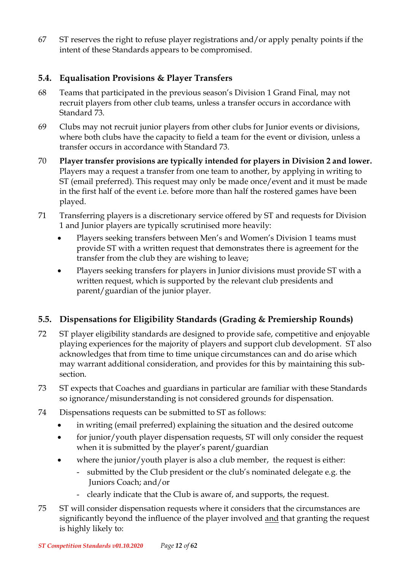67 ST reserves the right to refuse player registrations and/or apply penalty points if the intent of these Standards appears to be compromised.

### <span id="page-11-0"></span>**5.4. Equalisation Provisions & Player Transfers**

- 68 Teams that participated in the previous season's Division 1 Grand Final, may not recruit players from other club teams, unless a transfer occurs in accordance with Standard 73.
- 69 Clubs may not recruit junior players from other clubs for Junior events or divisions, where both clubs have the capacity to field a team for the event or division, unless a transfer occurs in accordance with Standard 73.
- 70 **Player transfer provisions are typically intended for players in Division 2 and lower.** Players may a request a transfer from one team to another, by applying in writing to ST (email preferred). This request may only be made once/event and it must be made in the first half of the event i.e. before more than half the rostered games have been played.
- 71 Transferring players is a discretionary service offered by ST and requests for Division 1 and Junior players are typically scrutinised more heavily:
	- Players seeking transfers between Men's and Women's Division 1 teams must provide ST with a written request that demonstrates there is agreement for the transfer from the club they are wishing to leave;
	- Players seeking transfers for players in Junior divisions must provide ST with a written request, which is supported by the relevant club presidents and parent/guardian of the junior player.

### <span id="page-11-1"></span>**5.5. Dispensations for Eligibility Standards (Grading & Premiership Rounds)**

- 72 ST player eligibility standards are designed to provide safe, competitive and enjoyable playing experiences for the majority of players and support club development. ST also acknowledges that from time to time unique circumstances can and do arise which may warrant additional consideration, and provides for this by maintaining this subsection.
- 73 ST expects that Coaches and guardians in particular are familiar with these Standards so ignorance/misunderstanding is not considered grounds for dispensation.
- 74 Dispensations requests can be submitted to ST as follows:
	- in writing (email preferred) explaining the situation and the desired outcome
	- for junior/youth player dispensation requests, ST will only consider the request when it is submitted by the player's parent/guardian
	- where the junior/youth player is also a club member, the request is either:
		- submitted by the Club president or the club's nominated delegate e.g. the Juniors Coach; and/or
		- clearly indicate that the Club is aware of, and supports, the request.
- 75 ST will consider dispensation requests where it considers that the circumstances are significantly beyond the influence of the player involved and that granting the request is highly likely to: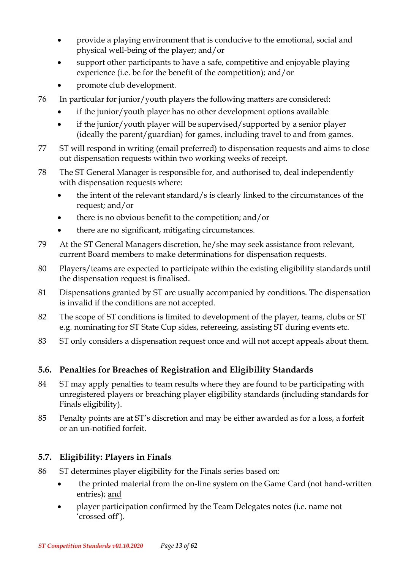- provide a playing environment that is conducive to the emotional, social and physical well-being of the player; and/or
- support other participants to have a safe, competitive and enjoyable playing experience (i.e. be for the benefit of the competition); and/or
- promote club development.
- 76 In particular for junior/youth players the following matters are considered:
	- if the junior/youth player has no other development options available
	- if the junior/youth player will be supervised/supported by a senior player (ideally the parent/guardian) for games, including travel to and from games.
- 77 ST will respond in writing (email preferred) to dispensation requests and aims to close out dispensation requests within two working weeks of receipt.
- 78 The ST General Manager is responsible for, and authorised to, deal independently with dispensation requests where:
	- the intent of the relevant standard/s is clearly linked to the circumstances of the request; and/or
	- there is no obvious benefit to the competition; and/or
	- there are no significant, mitigating circumstances.
- 79 At the ST General Managers discretion, he/she may seek assistance from relevant, current Board members to make determinations for dispensation requests.
- 80 Players/teams are expected to participate within the existing eligibility standards until the dispensation request is finalised.
- 81 Dispensations granted by ST are usually accompanied by conditions. The dispensation is invalid if the conditions are not accepted.
- 82 The scope of ST conditions is limited to development of the player, teams, clubs or ST e.g. nominating for ST State Cup sides, refereeing, assisting ST during events etc.
- 83 ST only considers a dispensation request once and will not accept appeals about them.

### <span id="page-12-0"></span>**5.6. Penalties for Breaches of Registration and Eligibility Standards**

- 84 ST may apply penalties to team results where they are found to be participating with unregistered players or breaching player eligibility standards (including standards for Finals eligibility).
- 85 Penalty points are at ST's discretion and may be either awarded as for a loss, a forfeit or an un-notified forfeit.

### <span id="page-12-1"></span>**5.7. Eligibility: Players in Finals**

- 86 ST determines player eligibility for the Finals series based on:
	- the printed material from the on-line system on the Game Card (not hand-written entries); and
	- player participation confirmed by the Team Delegates notes (i.e. name not 'crossed off').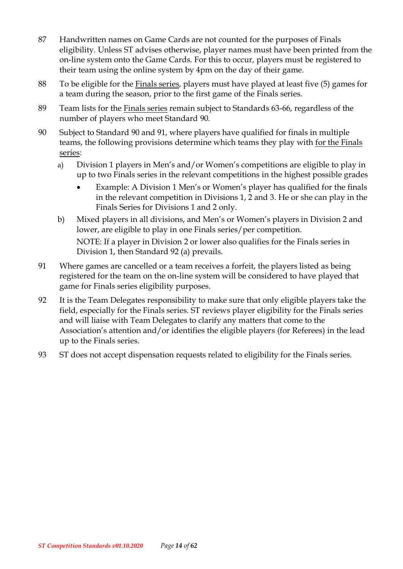- 87 Handwritten names on Game Cards are not counted for the purposes of Finals eligibility. Unless ST advises otherwise, player names must have been printed from the on-line system onto the Game Cards. For this to occur, players must be registered to their team using the online system by 4pm on the day of their game.
- 88 To be eligible for the Finals series, players must have played at least five (5) games for a team during the season, prior to the first game of the Finals series.
- 89 Team lists for the Finals series remain subject to Standards 63-66, regardless of the number of players who meet Standard 90.
- 90 Subject to Standard 90 and 91, where players have qualified for finals in multiple teams, the following provisions determine which teams they play with for the Finals series:
	- a) Division 1 players in Men's and/or Women's competitions are eligible to play in up to two Finals series in the relevant competitions in the highest possible grades
		- Example: A Division 1 Men's or Women's player has qualified for the finals in the relevant competition in Divisions 1, 2 and 3. He or she can play in the Finals Series for Divisions 1 and 2 only.
	- b) Mixed players in all divisions, and Men's or Women's players in Division 2 and lower, are eligible to play in one Finals series/per competition. NOTE: If a player in Division 2 or lower also qualifies for the Finals series in Division 1, then Standard 92 (a) prevails.
- 91 Where games are cancelled or a team receives a forfeit, the players listed as being registered for the team on the on-line system will be considered to have played that game for Finals series eligibility purposes.
- 92 It is the Team Delegates responsibility to make sure that only eligible players take the field, especially for the Finals series. ST reviews player eligibility for the Finals series and will liaise with Team Delegates to clarify any matters that come to the Association's attention and/or identifies the eligible players (for Referees) in the lead up to the Finals series.
- 93 ST does not accept dispensation requests related to eligibility for the Finals series.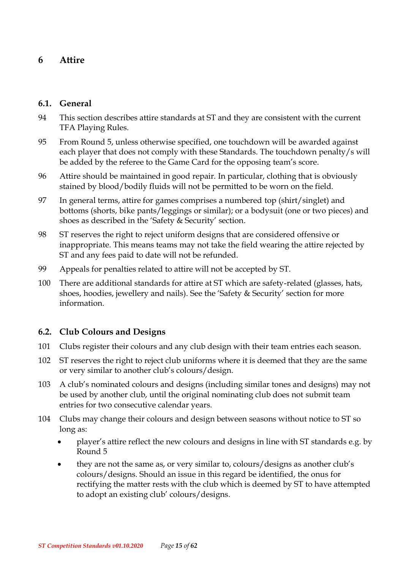### <span id="page-14-0"></span>**6 Attire**

#### <span id="page-14-1"></span>**6.1. General**

- 94 This section describes attire standards at ST and they are consistent with the current TFA Playing Rules.
- 95 From Round 5, unless otherwise specified, one touchdown will be awarded against each player that does not comply with these Standards. The touchdown penalty/s will be added by the referee to the Game Card for the opposing team's score.
- 96 Attire should be maintained in good repair. In particular, clothing that is obviously stained by blood/bodily fluids will not be permitted to be worn on the field.
- 97 In general terms, attire for games comprises a numbered top (shirt/singlet) and bottoms (shorts, bike pants/leggings or similar); or a bodysuit (one or two pieces) and shoes as described in the 'Safety & Security' section.
- 98 ST reserves the right to reject uniform designs that are considered offensive or inappropriate. This means teams may not take the field wearing the attire rejected by ST and any fees paid to date will not be refunded.
- 99 Appeals for penalties related to attire will not be accepted by ST.
- 100 There are additional standards for attire at ST which are safety-related (glasses, hats, shoes, hoodies, jewellery and nails). See the 'Safety & Security' section for more information.

#### <span id="page-14-2"></span>**6.2. Club Colours and Designs**

- 101 Clubs register their colours and any club design with their team entries each season.
- 102 ST reserves the right to reject club uniforms where it is deemed that they are the same or very similar to another club's colours/design.
- 103 A club's nominated colours and designs (including similar tones and designs) may not be used by another club, until the original nominating club does not submit team entries for two consecutive calendar years.
- 104 Clubs may change their colours and design between seasons without notice to ST so long as:
	- player's attire reflect the new colours and designs in line with ST standards e.g. by Round 5
	- they are not the same as, or very similar to, colours/designs as another club's colours/designs. Should an issue in this regard be identified, the onus for rectifying the matter rests with the club which is deemed by ST to have attempted to adopt an existing club' colours/designs.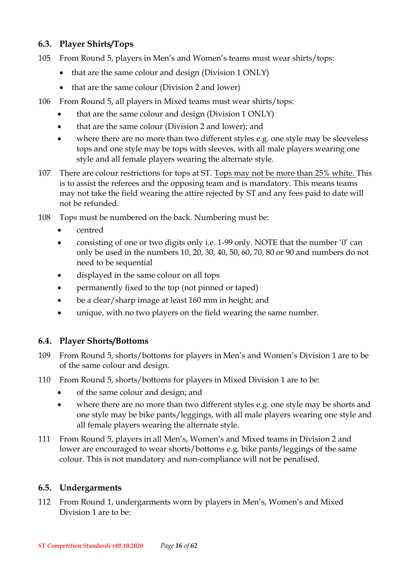### <span id="page-15-0"></span>**6.3. Player Shirts/Tops**

- 105 From Round 5, players in Men's and Women's teams must wear shirts/tops:
	- that are the same colour and design (Division 1 ONLY)
	- that are the same colour (Division 2 and lower)
- 106 From Round 5, all players in Mixed teams must wear shirts/tops:
	- that are the same colour and design (Division 1 ONLY)
	- that are the same colour (Division 2 and lower); and
	- where there are no more than two different styles e.g. one style may be sleeveless tops and one style may be tops with sleeves, with all male players wearing one style and all female players wearing the alternate style.
- 107 There are colour restrictions for tops at ST. Tops may not be more than 25% white. This is to assist the referees and the opposing team and is mandatory. This means teams may not take the field wearing the attire rejected by ST and any fees paid to date will not be refunded.
- 108 Tops must be numbered on the back. Numbering must be:
	- centred
	- consisting of one or two digits only i.e. 1-99 only. NOTE that the number '0' can only be used in the numbers 10, 20, 30, 40, 50, 60, 70, 80 or 90 and numbers do not need to be sequential
	- displayed in the same colour on all tops
	- permanently fixed to the top (not pinned or taped)
	- be a clear/sharp image at least 160 mm in height; and
	- unique, with no two players on the field wearing the same number.

### <span id="page-15-1"></span>**6.4. Player Shorts/Bottoms**

- 109 From Round 5, shorts/bottoms for players in Men's and Women's Division 1 are to be of the same colour and design.
- 110 From Round 5, shorts/bottoms for players in Mixed Division 1 are to be:
	- of the same colour and design; and
	- where there are no more than two different styles e.g. one style may be shorts and one style may be bike pants/leggings, with all male players wearing one style and all female players wearing the alternate style.
- 111 From Round 5, players in all Men's, Women's and Mixed teams in Division 2 and lower are encouraged to wear shorts/bottoms e.g. bike pants/leggings of the same colour. This is not mandatory and non-compliance will not be penalised.

### <span id="page-15-2"></span>**6.5. Undergarments**

112 From Round 1, undergarments worn by players in Men's, Women's and Mixed Division 1 are to be: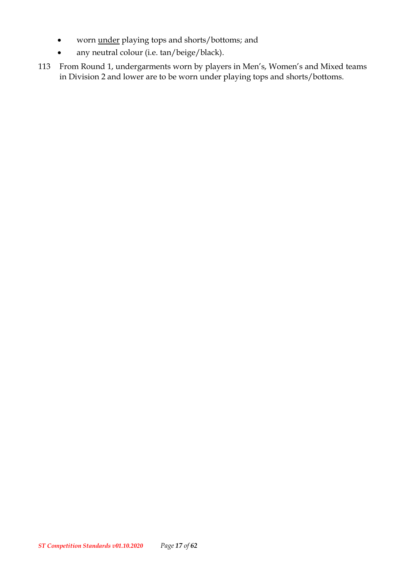- worn <u>under</u> playing tops and shorts/bottoms; and
- any neutral colour (i.e. tan/beige/black).
- 113 From Round 1, undergarments worn by players in Men's, Women's and Mixed teams in Division 2 and lower are to be worn under playing tops and shorts/bottoms.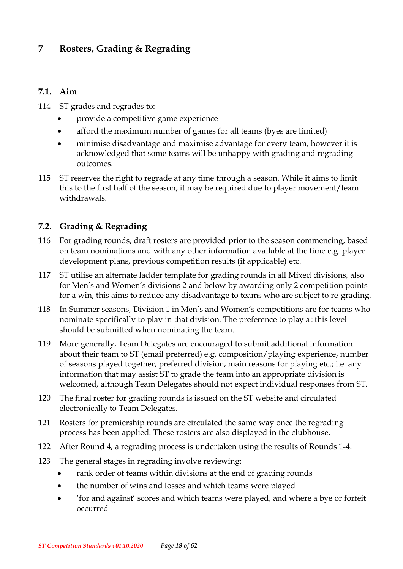### <span id="page-17-0"></span>**7 Rosters, Grading & Regrading**

#### <span id="page-17-1"></span>**7.1. Aim**

- 114 ST grades and regrades to:
	- provide a competitive game experience
	- afford the maximum number of games for all teams (byes are limited)
	- minimise disadvantage and maximise advantage for every team, however it is acknowledged that some teams will be unhappy with grading and regrading outcomes.
- 115 ST reserves the right to regrade at any time through a season. While it aims to limit this to the first half of the season, it may be required due to player movement/team withdrawals.

### <span id="page-17-2"></span>**7.2. Grading & Regrading**

- 116 For grading rounds, draft rosters are provided prior to the season commencing, based on team nominations and with any other information available at the time e.g. player development plans, previous competition results (if applicable) etc.
- 117 ST utilise an alternate ladder template for grading rounds in all Mixed divisions, also for Men's and Women's divisions 2 and below by awarding only 2 competition points for a win, this aims to reduce any disadvantage to teams who are subject to re-grading.
- 118 In Summer seasons, Division 1 in Men's and Women's competitions are for teams who nominate specifically to play in that division. The preference to play at this level should be submitted when nominating the team.
- 119 More generally, Team Delegates are encouraged to submit additional information about their team to ST (email preferred) e.g. composition/playing experience, number of seasons played together, preferred division, main reasons for playing etc.; i.e. any information that may assist ST to grade the team into an appropriate division is welcomed, although Team Delegates should not expect individual responses from ST.
- 120 The final roster for grading rounds is issued on the ST website and circulated electronically to Team Delegates.
- 121 Rosters for premiership rounds are circulated the same way once the regrading process has been applied. These rosters are also displayed in the clubhouse.
- 122 After Round 4, a regrading process is undertaken using the results of Rounds 1-4.
- 123 The general stages in regrading involve reviewing:
	- rank order of teams within divisions at the end of grading rounds
	- the number of wins and losses and which teams were played
	- 'for and against' scores and which teams were played, and where a bye or forfeit occurred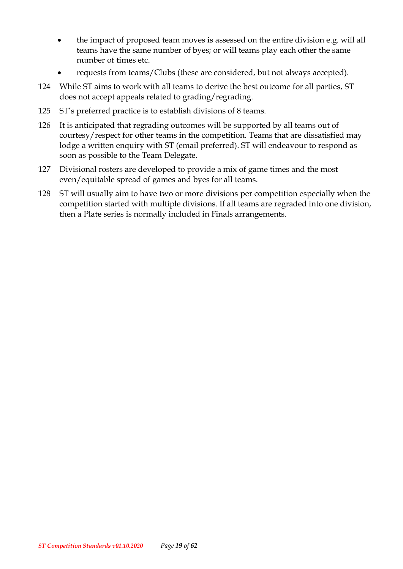- the impact of proposed team moves is assessed on the entire division e.g. will all teams have the same number of byes; or will teams play each other the same number of times etc.
- requests from teams/Clubs (these are considered, but not always accepted).
- 124 While ST aims to work with all teams to derive the best outcome for all parties, ST does not accept appeals related to grading/regrading.
- 125 ST's preferred practice is to establish divisions of 8 teams.
- 126 It is anticipated that regrading outcomes will be supported by all teams out of courtesy/respect for other teams in the competition. Teams that are dissatisfied may lodge a written enquiry with ST (email preferred). ST will endeavour to respond as soon as possible to the Team Delegate.
- 127 Divisional rosters are developed to provide a mix of game times and the most even/equitable spread of games and byes for all teams.
- 128 ST will usually aim to have two or more divisions per competition especially when the competition started with multiple divisions. If all teams are regraded into one division, then a Plate series is normally included in Finals arrangements.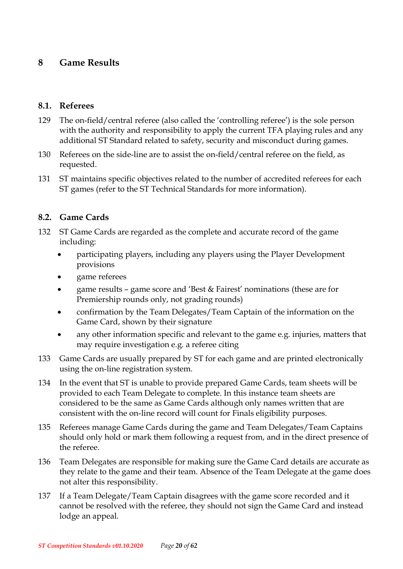### <span id="page-19-0"></span>**8 Game Results**

#### <span id="page-19-1"></span>**8.1. Referees**

- 129 The on-field/central referee (also called the 'controlling referee') is the sole person with the authority and responsibility to apply the current TFA playing rules and any additional ST Standard related to safety, security and misconduct during games.
- 130 Referees on the side-line are to assist the on-field/central referee on the field, as requested.
- 131 ST maintains specific objectives related to the number of accredited referees for each ST games (refer to the ST Technical Standards for more information).

#### <span id="page-19-2"></span>**8.2. Game Cards**

- 132 ST Game Cards are regarded as the complete and accurate record of the game including:
	- participating players, including any players using the Player Development provisions
	- game referees
	- game results game score and 'Best & Fairest' nominations (these are for Premiership rounds only, not grading rounds)
	- confirmation by the Team Delegates/Team Captain of the information on the Game Card, shown by their signature
	- any other information specific and relevant to the game e.g. injuries, matters that may require investigation e.g. a referee citing
- 133 Game Cards are usually prepared by ST for each game and are printed electronically using the on-line registration system.
- 134 In the event that ST is unable to provide prepared Game Cards, team sheets will be provided to each Team Delegate to complete. In this instance team sheets are considered to be the same as Game Cards although only names written that are consistent with the on-line record will count for Finals eligibility purposes.
- 135 Referees manage Game Cards during the game and Team Delegates/Team Captains should only hold or mark them following a request from, and in the direct presence of the referee.
- 136 Team Delegates are responsible for making sure the Game Card details are accurate as they relate to the game and their team. Absence of the Team Delegate at the game does not alter this responsibility.
- 137 If a Team Delegate/Team Captain disagrees with the game score recorded and it cannot be resolved with the referee, they should not sign the Game Card and instead lodge an appeal.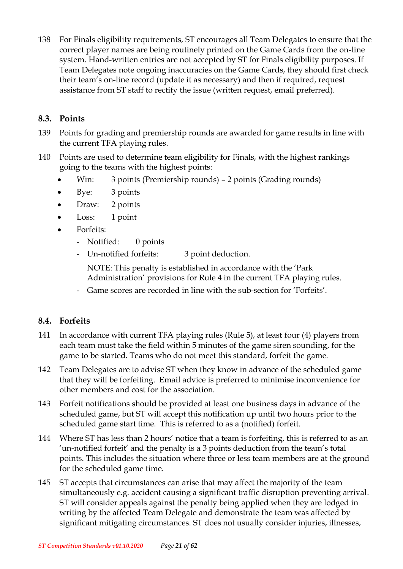138 For Finals eligibility requirements, ST encourages all Team Delegates to ensure that the correct player names are being routinely printed on the Game Cards from the on-line system. Hand-written entries are not accepted by ST for Finals eligibility purposes. If Team Delegates note ongoing inaccuracies on the Game Cards, they should first check their team's on-line record (update it as necessary) and then if required, request assistance from ST staff to rectify the issue (written request, email preferred).

#### <span id="page-20-0"></span>**8.3. Points**

- 139 Points for grading and premiership rounds are awarded for game results in line with the current TFA playing rules.
- 140 Points are used to determine team eligibility for Finals, with the highest rankings going to the teams with the highest points:
	- Win: 3 points (Premiership rounds) 2 points (Grading rounds)
	- Bye: 3 points
	- Draw: 2 points
	- Loss: 1 point
	- Forfeits:
		- Notified: 0 points
		- Un-notified forfeits: 3 point deduction.

NOTE: This penalty is established in accordance with the 'Park Administration' provisions for Rule 4 in the current TFA playing rules.

- Game scores are recorded in line with the sub-section for 'Forfeits'.

#### <span id="page-20-1"></span>**8.4. Forfeits**

- 141 In accordance with current TFA playing rules (Rule 5), at least four (4) players from each team must take the field within 5 minutes of the game siren sounding, for the game to be started. Teams who do not meet this standard, forfeit the game.
- 142 Team Delegates are to advise ST when they know in advance of the scheduled game that they will be forfeiting. Email advice is preferred to minimise inconvenience for other members and cost for the association.
- 143 Forfeit notifications should be provided at least one business days in advance of the scheduled game, but ST will accept this notification up until two hours prior to the scheduled game start time. This is referred to as a (notified) forfeit.
- 144 Where ST has less than 2 hours' notice that a team is forfeiting, this is referred to as an 'un-notified forfeit' and the penalty is a 3 points deduction from the team's total points. This includes the situation where three or less team members are at the ground for the scheduled game time.
- 145 ST accepts that circumstances can arise that may affect the majority of the team simultaneously e.g. accident causing a significant traffic disruption preventing arrival. ST will consider appeals against the penalty being applied when they are lodged in writing by the affected Team Delegate and demonstrate the team was affected by significant mitigating circumstances. ST does not usually consider injuries, illnesses,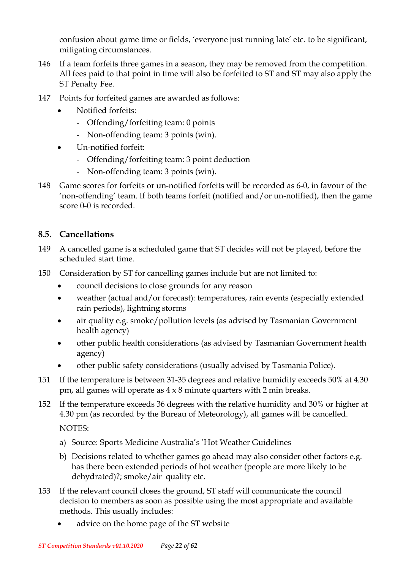confusion about game time or fields, 'everyone just running late' etc. to be significant, mitigating circumstances.

- 146 If a team forfeits three games in a season, they may be removed from the competition. All fees paid to that point in time will also be forfeited to ST and ST may also apply the ST Penalty Fee.
- 147 Points for forfeited games are awarded as follows:
	- Notified forfeits:
		- Offending/forfeiting team: 0 points
		- Non-offending team: 3 points (win).
	- Un-notified forfeit:
		- Offending/forfeiting team: 3 point deduction
		- Non-offending team: 3 points (win).
- 148 Game scores for forfeits or un-notified forfeits will be recorded as 6-0, in favour of the 'non-offending' team. If both teams forfeit (notified and/or un-notified), then the game score 0-0 is recorded.

#### <span id="page-21-0"></span>**8.5. Cancellations**

- 149 A cancelled game is a scheduled game that ST decides will not be played, before the scheduled start time.
- 150 Consideration by ST for cancelling games include but are not limited to:
	- council decisions to close grounds for any reason
	- weather (actual and/or forecast): temperatures, rain events (especially extended rain periods), lightning storms
	- air quality e.g. smoke/pollution levels (as advised by Tasmanian Government health agency)
	- other public health considerations (as advised by Tasmanian Government health agency)
	- other public safety considerations (usually advised by Tasmania Police).
- 151 If the temperature is between 31-35 degrees and relative humidity exceeds 50% at 4.30 pm, all games will operate as 4 x 8 minute quarters with 2 min breaks.
- 152 If the temperature exceeds 36 degrees with the relative humidity and 30% or higher at 4.30 pm (as recorded by the Bureau of Meteorology), all games will be cancelled. NOTES:

- a) Source: Sports Medicine Australia's 'Hot Weather Guidelines
- b) Decisions related to whether games go ahead may also consider other factors e.g. has there been extended periods of hot weather (people are more likely to be dehydrated)?; smoke/air quality etc.
- 153 If the relevant council closes the ground, ST staff will communicate the council decision to members as soon as possible using the most appropriate and available methods. This usually includes:
	- advice on the home page of the ST website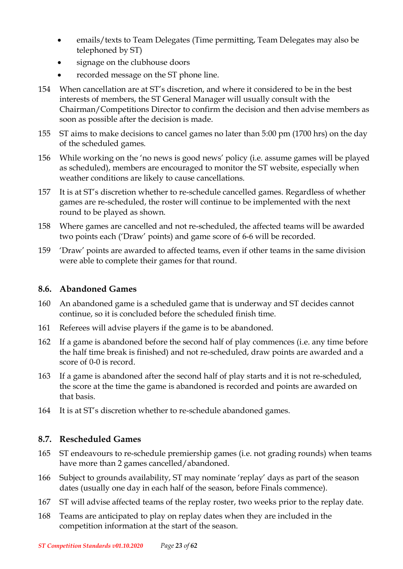- emails/texts to Team Delegates (Time permitting, Team Delegates may also be telephoned by ST)
- signage on the clubhouse doors
- recorded message on the ST phone line.
- 154 When cancellation are at ST's discretion, and where it considered to be in the best interests of members, the ST General Manager will usually consult with the Chairman/Competitions Director to confirm the decision and then advise members as soon as possible after the decision is made.
- 155 ST aims to make decisions to cancel games no later than 5:00 pm (1700 hrs) on the day of the scheduled games.
- 156 While working on the 'no news is good news' policy (i.e. assume games will be played as scheduled), members are encouraged to monitor the ST website, especially when weather conditions are likely to cause cancellations.
- 157 It is at ST's discretion whether to re-schedule cancelled games. Regardless of whether games are re-scheduled, the roster will continue to be implemented with the next round to be played as shown.
- 158 Where games are cancelled and not re-scheduled, the affected teams will be awarded two points each ('Draw' points) and game score of 6-6 will be recorded.
- 159 'Draw' points are awarded to affected teams, even if other teams in the same division were able to complete their games for that round.

#### <span id="page-22-0"></span>**8.6. Abandoned Games**

- 160 An abandoned game is a scheduled game that is underway and ST decides cannot continue, so it is concluded before the scheduled finish time.
- 161 Referees will advise players if the game is to be abandoned.
- 162 If a game is abandoned before the second half of play commences (i.e. any time before the half time break is finished) and not re-scheduled, draw points are awarded and a score of 0-0 is record.
- 163 If a game is abandoned after the second half of play starts and it is not re-scheduled, the score at the time the game is abandoned is recorded and points are awarded on that basis.
- 164 It is at ST's discretion whether to re-schedule abandoned games.

#### <span id="page-22-1"></span>**8.7. Rescheduled Games**

- 165 ST endeavours to re-schedule premiership games (i.e. not grading rounds) when teams have more than 2 games cancelled/abandoned.
- 166 Subject to grounds availability, ST may nominate 'replay' days as part of the season dates (usually one day in each half of the season, before Finals commence).
- 167 ST will advise affected teams of the replay roster, two weeks prior to the replay date.
- 168 Teams are anticipated to play on replay dates when they are included in the competition information at the start of the season.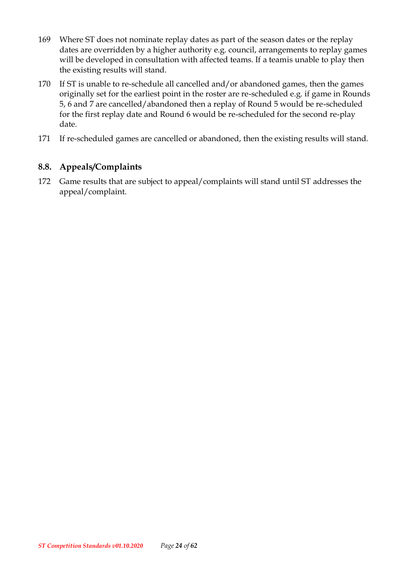- 169 Where ST does not nominate replay dates as part of the season dates or the replay dates are overridden by a higher authority e.g. council, arrangements to replay games will be developed in consultation with affected teams. If a teamis unable to play then the existing results will stand.
- 170 If ST is unable to re-schedule all cancelled and/or abandoned games, then the games originally set for the earliest point in the roster are re-scheduled e.g. if game in Rounds 5, 6 and 7 are cancelled/abandoned then a replay of Round 5 would be re-scheduled for the first replay date and Round 6 would be re-scheduled for the second re-play date.
- 171 If re-scheduled games are cancelled or abandoned, then the existing results will stand.

#### <span id="page-23-0"></span>**8.8. Appeals/Complaints**

172 Game results that are subject to appeal/complaints will stand until ST addresses the appeal/complaint.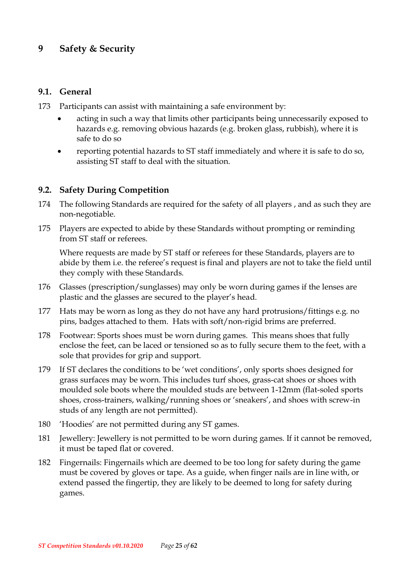### <span id="page-24-0"></span>**9 Safety & Security**

#### <span id="page-24-1"></span>**9.1. General**

- 173 Participants can assist with maintaining a safe environment by:
	- acting in such a way that limits other participants being unnecessarily exposed to hazards e.g. removing obvious hazards (e.g. broken glass, rubbish), where it is safe to do so
	- reporting potential hazards to ST staff immediately and where it is safe to do so, assisting ST staff to deal with the situation.

#### <span id="page-24-2"></span>**9.2. Safety During Competition**

- 174 The following Standards are required for the safety of all players , and as such they are non-negotiable.
- 175 Players are expected to abide by these Standards without prompting or reminding from ST staff or referees.

Where requests are made by ST staff or referees for these Standards, players are to abide by them i.e. the referee's request is final and players are not to take the field until they comply with these Standards.

- 176 Glasses (prescription/sunglasses) may only be worn during games if the lenses are plastic and the glasses are secured to the player's head.
- 177 Hats may be worn as long as they do not have any hard protrusions/fittings e.g. no pins, badges attached to them. Hats with soft/non-rigid brims are preferred.
- 178 Footwear: Sports shoes must be worn during games. This means shoes that fully enclose the feet, can be laced or tensioned so as to fully secure them to the feet, with a sole that provides for grip and support.
- 179 If ST declares the conditions to be 'wet conditions', only sports shoes designed for grass surfaces may be worn. This includes turf shoes, grass-cat shoes or shoes with moulded sole boots where the moulded studs are between 1-12mm (flat-soled sports shoes, cross-trainers, walking/running shoes or 'sneakers', and shoes with screw-in studs of any length are not permitted).
- 180 'Hoodies' are not permitted during any ST games.
- 181 Jewellery: Jewellery is not permitted to be worn during games. If it cannot be removed, it must be taped flat or covered.
- 182 Fingernails: Fingernails which are deemed to be too long for safety during the game must be covered by gloves or tape. As a guide, when finger nails are in line with, or extend passed the fingertip, they are likely to be deemed to long for safety during games.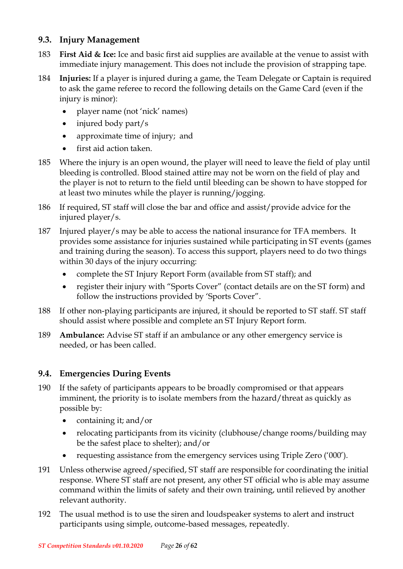#### <span id="page-25-0"></span>**9.3. Injury Management**

- 183 **First Aid & Ice:** Ice and basic first aid supplies are available at the venue to assist with immediate injury management. This does not include the provision of strapping tape.
- 184 **Injuries:** If a player is injured during a game, the Team Delegate or Captain is required to ask the game referee to record the following details on the Game Card (even if the injury is minor):
	- player name (not 'nick' names)
	- injured body part/s
	- approximate time of injury; and
	- first aid action taken.
- 185 Where the injury is an open wound, the player will need to leave the field of play until bleeding is controlled. Blood stained attire may not be worn on the field of play and the player is not to return to the field until bleeding can be shown to have stopped for at least two minutes while the player is running/jogging.
- 186 If required, ST staff will close the bar and office and assist/provide advice for the injured player/s.
- 187 Injured player/s may be able to access the national insurance for TFA members. It provides some assistance for injuries sustained while participating in ST events (games and training during the season). To access this support, players need to do two things within 30 days of the injury occurring:
	- complete the ST Injury Report Form (available from ST staff); and
	- register their injury with "Sports Cover" (contact details are on the ST form) and follow the instructions provided by 'Sports Cover".
- 188 If other non-playing participants are injured, it should be reported to ST staff. ST staff should assist where possible and complete an ST Injury Report form.
- 189 **Ambulance:** Advise ST staff if an ambulance or any other emergency service is needed, or has been called.

#### <span id="page-25-1"></span>**9.4. Emergencies During Events**

- 190 If the safety of participants appears to be broadly compromised or that appears imminent, the priority is to isolate members from the hazard/threat as quickly as possible by:
	- containing it; and/or
	- relocating participants from its vicinity (clubhouse/change rooms/building may be the safest place to shelter); and/or
	- requesting assistance from the emergency services using Triple Zero ('000').
- 191 Unless otherwise agreed/specified, ST staff are responsible for coordinating the initial response. Where ST staff are not present, any other ST official who is able may assume command within the limits of safety and their own training, until relieved by another relevant authority.
- 192 The usual method is to use the siren and loudspeaker systems to alert and instruct participants using simple, outcome-based messages, repeatedly.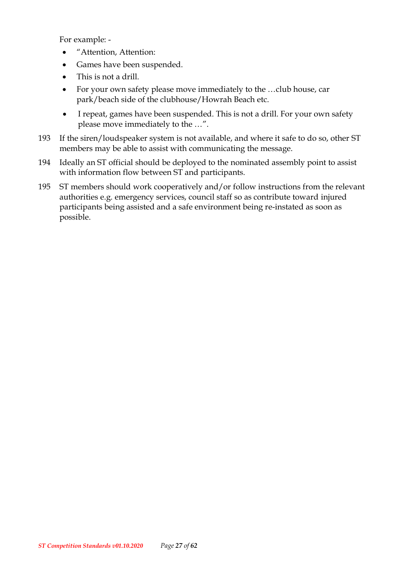For example: -

- "Attention, Attention:
- Games have been suspended.
- This is not a drill.
- For your own safety please move immediately to the …club house, car park/beach side of the clubhouse/Howrah Beach etc.
- I repeat, games have been suspended. This is not a drill. For your own safety please move immediately to the …".
- 193 If the siren/loudspeaker system is not available, and where it safe to do so, other ST members may be able to assist with communicating the message.
- 194 Ideally an ST official should be deployed to the nominated assembly point to assist with information flow between ST and participants.
- 195 ST members should work cooperatively and/or follow instructions from the relevant authorities e.g. emergency services, council staff so as contribute toward injured participants being assisted and a safe environment being re-instated as soon as possible.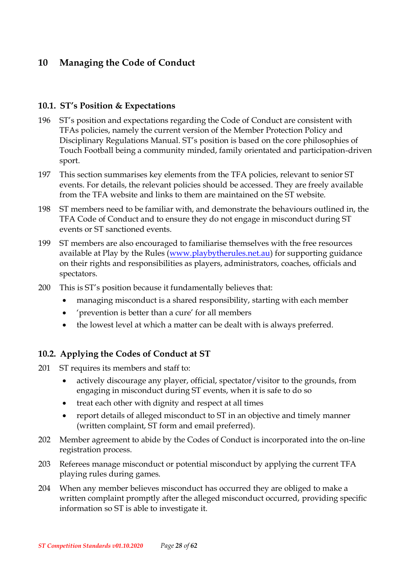# <span id="page-27-0"></span>**10 Managing the Code of Conduct**

#### <span id="page-27-1"></span>**10.1. ST's Position & Expectations**

- 196 ST's position and expectations regarding the Code of Conduct are consistent with TFAs policies, namely the current version of the Member Protection Policy and Disciplinary Regulations Manual. ST's position is based on the core philosophies of Touch Football being a community minded, family orientated and participation-driven sport.
- 197 This section summarises key elements from the TFA policies, relevant to senior ST events. For details, the relevant policies should be accessed. They are freely available from the TFA website and links to them are maintained on the ST website.
- 198 ST members need to be familiar with, and demonstrate the behaviours outlined in, the TFA Code of Conduct and to ensure they do not engage in misconduct during ST events or ST sanctioned events.
- 199 ST members are also encouraged to familiarise themselves with the free resources available at Play by the Rules [\(www.playbytherules.net.au\)](http://www.playbytherules.net.au/) for supporting guidance on their rights and responsibilities as players, administrators, coaches, officials and spectators.
- 200 This is ST's position because it fundamentally believes that:
	- managing misconduct is a shared responsibility, starting with each member
	- 'prevention is better than a cure' for all members
	- the lowest level at which a matter can be dealt with is always preferred.

### <span id="page-27-2"></span>**10.2. Applying the Codes of Conduct at ST**

- 201 ST requires its members and staff to:
	- actively discourage any player, official, spectator/visitor to the grounds, from engaging in misconduct during ST events, when it is safe to do so
	- treat each other with dignity and respect at all times
	- report details of alleged misconduct to ST in an objective and timely manner (written complaint, ST form and email preferred).
- 202 Member agreement to abide by the Codes of Conduct is incorporated into the on-line registration process.
- 203 Referees manage misconduct or potential misconduct by applying the current TFA playing rules during games.
- 204 When any member believes misconduct has occurred they are obliged to make a written complaint promptly after the alleged misconduct occurred, providing specific information so ST is able to investigate it.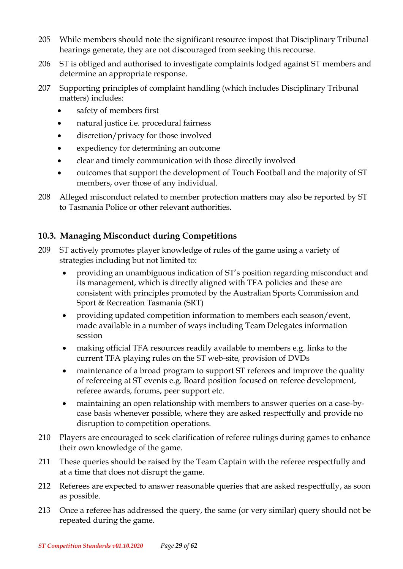- 205 While members should note the significant resource impost that Disciplinary Tribunal hearings generate, they are not discouraged from seeking this recourse.
- 206 ST is obliged and authorised to investigate complaints lodged against ST members and determine an appropriate response.
- 207 Supporting principles of complaint handling (which includes Disciplinary Tribunal matters) includes:
	- safety of members first
	- natural justice i.e. procedural fairness
	- discretion/privacy for those involved
	- expediency for determining an outcome
	- clear and timely communication with those directly involved
	- outcomes that support the development of Touch Football and the majority of ST members, over those of any individual.
- 208 Alleged misconduct related to member protection matters may also be reported by ST to Tasmania Police or other relevant authorities.

### <span id="page-28-0"></span>**10.3. Managing Misconduct during Competitions**

- 209 ST actively promotes player knowledge of rules of the game using a variety of strategies including but not limited to:
	- providing an unambiguous indication of ST's position regarding misconduct and its management, which is directly aligned with TFA policies and these are consistent with principles promoted by the Australian Sports Commission and Sport & Recreation Tasmania (SRT)
	- providing updated competition information to members each season/event, made available in a number of ways including Team Delegates information session
	- making official TFA resources readily available to members e.g. links to the current TFA playing rules on the ST web-site, provision of DVDs
	- maintenance of a broad program to support ST referees and improve the quality of refereeing at ST events e.g. Board position focused on referee development, referee awards, forums, peer support etc.
	- maintaining an open relationship with members to answer queries on a case-bycase basis whenever possible, where they are asked respectfully and provide no disruption to competition operations.
- 210 Players are encouraged to seek clarification of referee rulings during games to enhance their own knowledge of the game.
- 211 These queries should be raised by the Team Captain with the referee respectfully and at a time that does not disrupt the game.
- 212 Referees are expected to answer reasonable queries that are asked respectfully, as soon as possible.
- 213 Once a referee has addressed the query, the same (or very similar) query should not be repeated during the game.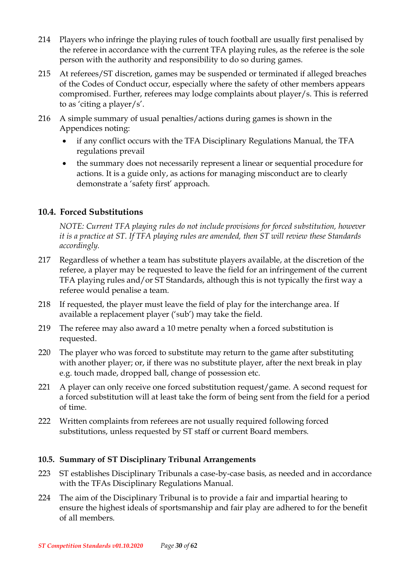- 214 Players who infringe the playing rules of touch football are usually first penalised by the referee in accordance with the current TFA playing rules, as the referee is the sole person with the authority and responsibility to do so during games.
- 215 At referees/ST discretion, games may be suspended or terminated if alleged breaches of the Codes of Conduct occur, especially where the safety of other members appears compromised. Further, referees may lodge complaints about player/s. This is referred to as 'citing a player/s'.
- 216 A simple summary of usual penalties/actions during games is shown in the Appendices noting:
	- if any conflict occurs with the TFA Disciplinary Regulations Manual, the TFA regulations prevail
	- the summary does not necessarily represent a linear or sequential procedure for actions. It is a guide only, as actions for managing misconduct are to clearly demonstrate a 'safety first' approach.

#### <span id="page-29-0"></span>**10.4. Forced Substitutions**

*NOTE: Current TFA playing rules do not include provisions for forced substitution, however it is a practice at ST. If TFA playing rules are amended, then ST will review these Standards accordingly.* 

- 217 Regardless of whether a team has substitute players available, at the discretion of the referee, a player may be requested to leave the field for an infringement of the current TFA playing rules and/or ST Standards, although this is not typically the first way a referee would penalise a team.
- 218 If requested, the player must leave the field of play for the interchange area. If available a replacement player ('sub') may take the field.
- 219 The referee may also award a 10 metre penalty when a forced substitution is requested.
- 220 The player who was forced to substitute may return to the game after substituting with another player; or, if there was no substitute player, after the next break in play e.g. touch made, dropped ball, change of possession etc.
- 221 A player can only receive one forced substitution request/game. A second request for a forced substitution will at least take the form of being sent from the field for a period of time.
- 222 Written complaints from referees are not usually required following forced substitutions, unless requested by ST staff or current Board members.

#### <span id="page-29-1"></span>**10.5. Summary of ST Disciplinary Tribunal Arrangements**

- 223 ST establishes Disciplinary Tribunals a case-by-case basis, as needed and in accordance with the TFAs Disciplinary Regulations Manual.
- 224 The aim of the Disciplinary Tribunal is to provide a fair and impartial hearing to ensure the highest ideals of sportsmanship and fair play are adhered to for the benefit of all members.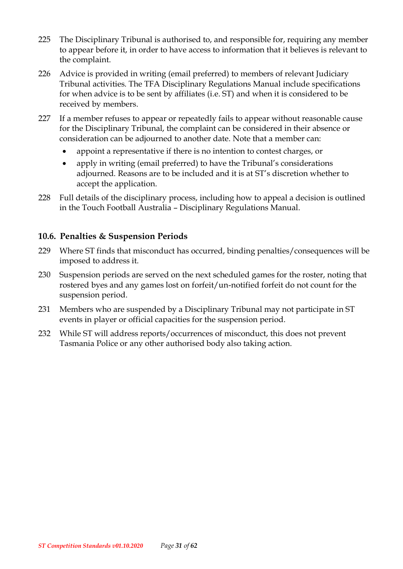- 225 The Disciplinary Tribunal is authorised to, and responsible for, requiring any member to appear before it, in order to have access to information that it believes is relevant to the complaint.
- 226 Advice is provided in writing (email preferred) to members of relevant Judiciary Tribunal activities. The TFA Disciplinary Regulations Manual include specifications for when advice is to be sent by affiliates (i.e. ST) and when it is considered to be received by members.
- 227 If a member refuses to appear or repeatedly fails to appear without reasonable cause for the Disciplinary Tribunal, the complaint can be considered in their absence or consideration can be adjourned to another date. Note that a member can:
	- appoint a representative if there is no intention to contest charges, or
	- apply in writing (email preferred) to have the Tribunal's considerations adjourned. Reasons are to be included and it is at ST's discretion whether to accept the application.
- 228 Full details of the disciplinary process, including how to appeal a decision is outlined in the Touch Football Australia – Disciplinary Regulations Manual.

#### <span id="page-30-0"></span>**10.6. Penalties & Suspension Periods**

- 229 Where ST finds that misconduct has occurred, binding penalties/consequences will be imposed to address it.
- 230 Suspension periods are served on the next scheduled games for the roster, noting that rostered byes and any games lost on forfeit/un-notified forfeit do not count for the suspension period.
- 231 Members who are suspended by a Disciplinary Tribunal may not participate in ST events in player or official capacities for the suspension period.
- 232 While ST will address reports/occurrences of misconduct, this does not prevent Tasmania Police or any other authorised body also taking action.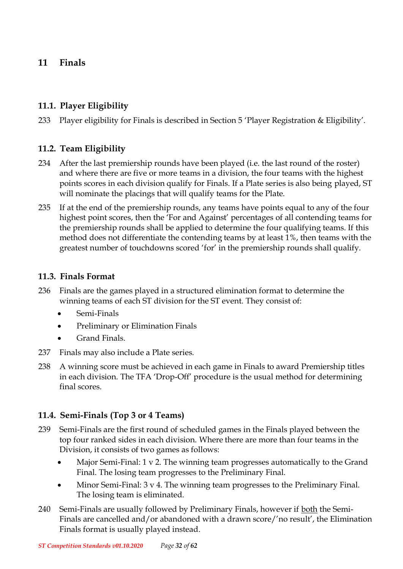### <span id="page-31-0"></span>**11 Finals**

### <span id="page-31-1"></span>**11.1. Player Eligibility**

233 Player eligibility for Finals is described in Section 5 'Player Registration & Eligibility'.

### <span id="page-31-2"></span>**11.2. Team Eligibility**

- 234 After the last premiership rounds have been played (i.e. the last round of the roster) and where there are five or more teams in a division, the four teams with the highest points scores in each division qualify for Finals. If a Plate series is also being played, ST will nominate the placings that will qualify teams for the Plate.
- 235 If at the end of the premiership rounds, any teams have points equal to any of the four highest point scores, then the 'For and Against' percentages of all contending teams for the premiership rounds shall be applied to determine the four qualifying teams. If this method does not differentiate the contending teams by at least 1%, then teams with the greatest number of touchdowns scored 'for' in the premiership rounds shall qualify.

### <span id="page-31-3"></span>**11.3. Finals Format**

- 236 Finals are the games played in a structured elimination format to determine the winning teams of each ST division for the ST event. They consist of:
	- Semi-Finals
	- Preliminary or Elimination Finals
	- Grand Finals.
- 237 Finals may also include a Plate series.
- 238 A winning score must be achieved in each game in Finals to award Premiership titles in each division. The TFA 'Drop-Off' procedure is the usual method for determining final scores.

### <span id="page-31-4"></span>**11.4. Semi-Finals (Top 3 or 4 Teams)**

- 239 Semi-Finals are the first round of scheduled games in the Finals played between the top four ranked sides in each division. Where there are more than four teams in the Division, it consists of two games as follows:
	- Major Semi-Final: 1 v 2. The winning team progresses automatically to the Grand Final. The losing team progresses to the Preliminary Final.
	- Minor Semi-Final: 3 v 4. The winning team progresses to the Preliminary Final. The losing team is eliminated.
- 240 Semi-Finals are usually followed by Preliminary Finals, however if both the Semi-Finals are cancelled and/or abandoned with a drawn score/'no result', the Elimination Finals format is usually played instead.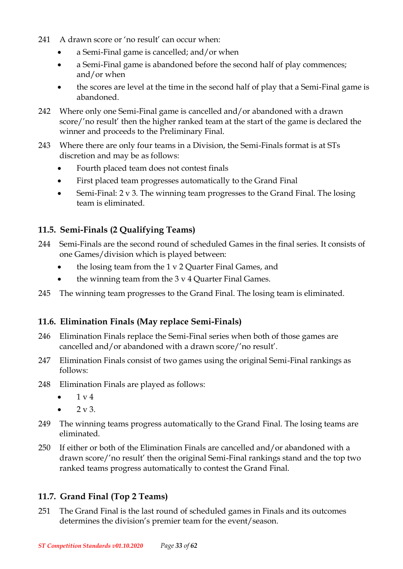- 241 A drawn score or 'no result' can occur when:
	- a Semi-Final game is cancelled; and/or when
	- a Semi-Final game is abandoned before the second half of play commences; and/or when
	- the scores are level at the time in the second half of play that a Semi-Final game is abandoned.
- 242 Where only one Semi-Final game is cancelled and/or abandoned with a drawn score/'no result' then the higher ranked team at the start of the game is declared the winner and proceeds to the Preliminary Final.
- 243 Where there are only four teams in a Division, the Semi-Finals format is at STs discretion and may be as follows:
	- Fourth placed team does not contest finals
	- First placed team progresses automatically to the Grand Final
	- Semi-Final: 2 v 3. The winning team progresses to the Grand Final. The losing team is eliminated.

### <span id="page-32-0"></span>**11.5. Semi-Finals (2 Qualifying Teams)**

- 244 Semi-Finals are the second round of scheduled Games in the final series. It consists of one Games/division which is played between:
	- the losing team from the 1 v 2 Quarter Final Games, and
	- the winning team from the  $3 \times 4$  Quarter Final Games.
- 245 The winning team progresses to the Grand Final. The losing team is eliminated.

### <span id="page-32-1"></span>**11.6. Elimination Finals (May replace Semi-Finals)**

- 246 Elimination Finals replace the Semi-Final series when both of those games are cancelled and/or abandoned with a drawn score/'no result'.
- 247 Elimination Finals consist of two games using the original Semi-Final rankings as follows:
- 248 Elimination Finals are played as follows:
	- $1 \times 4$
	- $2 \text{ v } 3$ .
- 249 The winning teams progress automatically to the Grand Final. The losing teams are eliminated.
- 250 If either or both of the Elimination Finals are cancelled and/or abandoned with a drawn score/'no result' then the original Semi-Final rankings stand and the top two ranked teams progress automatically to contest the Grand Final.

### <span id="page-32-2"></span>**11.7. Grand Final (Top 2 Teams)**

251 The Grand Final is the last round of scheduled games in Finals and its outcomes determines the division's premier team for the event/season.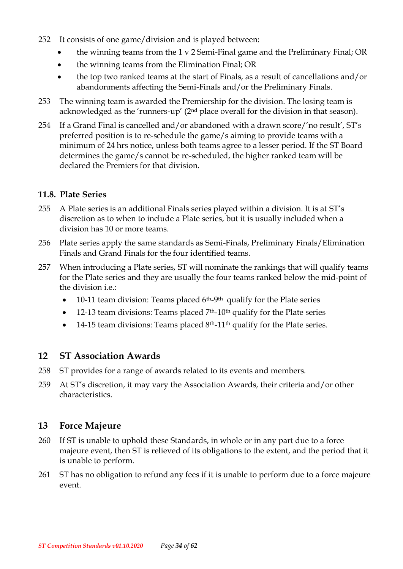- 252 It consists of one game/division and is played between:
	- the winning teams from the 1 v 2 Semi-Final game and the Preliminary Final; OR
	- the winning teams from the Elimination Final; OR
	- the top two ranked teams at the start of Finals, as a result of cancellations and/or abandonments affecting the Semi-Finals and/or the Preliminary Finals.
- 253 The winning team is awarded the Premiership for the division. The losing team is acknowledged as the 'runners-up' (2nd place overall for the division in that season).
- 254 If a Grand Final is cancelled and/or abandoned with a drawn score/'no result', ST's preferred position is to re-schedule the game/s aiming to provide teams with a minimum of 24 hrs notice, unless both teams agree to a lesser period. If the ST Board determines the game/s cannot be re-scheduled, the higher ranked team will be declared the Premiers for that division.

#### <span id="page-33-0"></span>**11.8. Plate Series**

- 255 A Plate series is an additional Finals series played within a division. It is at ST's discretion as to when to include a Plate series, but it is usually included when a division has 10 or more teams.
- 256 Plate series apply the same standards as Semi-Finals, Preliminary Finals/Elimination Finals and Grand Finals for the four identified teams.
- 257 When introducing a Plate series, ST will nominate the rankings that will qualify teams for the Plate series and they are usually the four teams ranked below the mid-point of the division i.e.:
	- $\bullet$  10-11 team division: Teams placed 6<sup>th</sup>-9<sup>th</sup> qualify for the Plate series
	- 12-13 team divisions: Teams placed  $7<sup>th</sup>$ -10<sup>th</sup> qualify for the Plate series
	- 14-15 team divisions: Teams placed  $8<sup>th</sup>$ -11<sup>th</sup> qualify for the Plate series.

### <span id="page-33-1"></span>**12 ST Association Awards**

- 258 ST provides for a range of awards related to its events and members.
- 259 At ST's discretion, it may vary the Association Awards, their criteria and/or other characteristics.

### <span id="page-33-2"></span>**13 Force Majeure**

- 260 If ST is unable to uphold these Standards, in whole or in any part due to a force majeure event, then ST is relieved of its obligations to the extent, and the period that it is unable to perform.
- 261 ST has no obligation to refund any fees if it is unable to perform due to a force majeure event.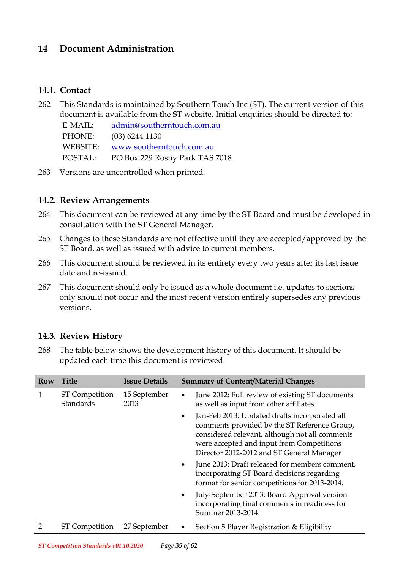### <span id="page-34-0"></span>**14 Document Administration**

#### <span id="page-34-1"></span>**14.1. Contact**

262 This Standards is maintained by Southern Touch Inc (ST). The current version of this document is available from the ST website. Initial enquiries should be directed to:

E-MAIL: [admin@southerntouch.com.au](mailto:admin@southerntouch.com.au)

PHONE: (03) 6244 1130 WEBSITE: [www.southerntouch.com.au](http://www.southerntouch.com.au/)

POSTAL: PO Box 229 Rosny Park TAS 7018

263 Versions are uncontrolled when printed.

#### <span id="page-34-2"></span>**14.2. Review Arrangements**

- 264 This document can be reviewed at any time by the ST Board and must be developed in consultation with the ST General Manager.
- 265 Changes to these Standards are not effective until they are accepted/approved by the ST Board, as well as issued with advice to current members.
- 266 This document should be reviewed in its entirety every two years after its last issue date and re-issued.
- 267 This document should only be issued as a whole document i.e. updates to sections only should not occur and the most recent version entirely supersedes any previous versions.

#### <span id="page-34-3"></span>**14.3. Review History**

268 The table below shows the development history of this document. It should be updated each time this document is reviewed.

| Row | <b>Title</b>                       | <b>Issue Details</b> |                                                                                                        | <b>Summary of Content/Material Changes</b>                                                                                                                                                                                                |
|-----|------------------------------------|----------------------|--------------------------------------------------------------------------------------------------------|-------------------------------------------------------------------------------------------------------------------------------------------------------------------------------------------------------------------------------------------|
| 1   | <b>ST</b> Competition<br>Standards | 15 September<br>2013 | June 2012: Full review of existing ST documents<br>$\bullet$<br>as well as input from other affiliates |                                                                                                                                                                                                                                           |
|     |                                    |                      | $\bullet$                                                                                              | Jan-Feb 2013: Updated drafts incorporated all<br>comments provided by the ST Reference Group,<br>considered relevant, although not all comments<br>were accepted and input from Competitions<br>Director 2012-2012 and ST General Manager |
|     |                                    |                      | $\bullet$                                                                                              | June 2013: Draft released for members comment,<br>incorporating ST Board decisions regarding<br>format for senior competitions for 2013-2014.                                                                                             |
|     |                                    |                      | $\bullet$                                                                                              | July-September 2013: Board Approval version<br>incorporating final comments in readiness for<br>Summer 2013-2014.                                                                                                                         |
|     | <b>ST</b> Competition              | 27 September         | $\bullet$                                                                                              | Section 5 Player Registration & Eligibility                                                                                                                                                                                               |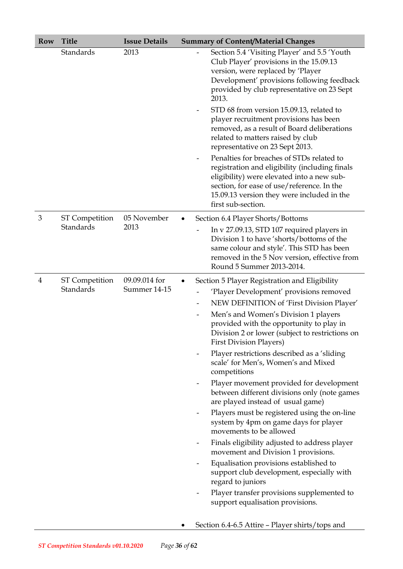| <b>Row</b>     | <b>Title</b>          | <b>Issue Details</b> | <b>Summary of Content/Material Changes</b>                                                                                                                                                                                                                                                                                                                                                                                                                                                                                                                                                                                                                                                                    |
|----------------|-----------------------|----------------------|---------------------------------------------------------------------------------------------------------------------------------------------------------------------------------------------------------------------------------------------------------------------------------------------------------------------------------------------------------------------------------------------------------------------------------------------------------------------------------------------------------------------------------------------------------------------------------------------------------------------------------------------------------------------------------------------------------------|
|                | Standards             | 2013                 | Section 5.4 'Visiting Player' and 5.5 'Youth<br>Club Player' provisions in the 15.09.13<br>version, were replaced by 'Player<br>Development' provisions following feedback<br>provided by club representative on 23 Sept<br>2013.<br>STD 68 from version 15.09.13, related to<br>player recruitment provisions has been<br>removed, as a result of Board deliberations<br>related to matters raised by club<br>representative on 23 Sept 2013.<br>Penalties for breaches of STDs related to<br>registration and eligibility (including finals<br>eligibility) were elevated into a new sub-<br>section, for ease of use/reference. In the<br>15.09.13 version they were included in the<br>first sub-section. |
| 3              | <b>ST Competition</b> | 05 November          | Section 6.4 Player Shorts/Bottoms                                                                                                                                                                                                                                                                                                                                                                                                                                                                                                                                                                                                                                                                             |
|                | <b>Standards</b>      | 2013                 | In v 27.09.13, STD 107 required players in<br>Division 1 to have 'shorts/bottoms of the<br>same colour and style'. This STD has been<br>removed in the 5 Nov version, effective from<br>Round 5 Summer 2013-2014.                                                                                                                                                                                                                                                                                                                                                                                                                                                                                             |
| $\overline{4}$ | ST Competition        | 09.09.014 for        | Section 5 Player Registration and Eligibility                                                                                                                                                                                                                                                                                                                                                                                                                                                                                                                                                                                                                                                                 |
|                | Standards             | Summer 14-15         | 'Player Development' provisions removed                                                                                                                                                                                                                                                                                                                                                                                                                                                                                                                                                                                                                                                                       |
|                |                       |                      | NEW DEFINITION of 'First Division Player'                                                                                                                                                                                                                                                                                                                                                                                                                                                                                                                                                                                                                                                                     |
|                |                       |                      | Men's and Women's Division 1 players<br>$\qquad \qquad \blacksquare$<br>provided with the opportunity to play in<br>Division 2 or lower (subject to restrictions on<br><b>First Division Players)</b>                                                                                                                                                                                                                                                                                                                                                                                                                                                                                                         |
|                |                       |                      | Player restrictions described as a 'sliding<br>scale' for Men's, Women's and Mixed<br>competitions                                                                                                                                                                                                                                                                                                                                                                                                                                                                                                                                                                                                            |
|                |                       |                      | Player movement provided for development<br>between different divisions only (note games<br>are played instead of usual game)                                                                                                                                                                                                                                                                                                                                                                                                                                                                                                                                                                                 |
|                |                       |                      | Players must be registered using the on-line<br>system by 4pm on game days for player<br>movements to be allowed                                                                                                                                                                                                                                                                                                                                                                                                                                                                                                                                                                                              |
|                |                       |                      | Finals eligibility adjusted to address player<br>-<br>movement and Division 1 provisions.                                                                                                                                                                                                                                                                                                                                                                                                                                                                                                                                                                                                                     |
|                |                       |                      | Equalisation provisions established to<br>$\overline{\phantom{a}}$<br>support club development, especially with<br>regard to juniors                                                                                                                                                                                                                                                                                                                                                                                                                                                                                                                                                                          |
|                |                       |                      | Player transfer provisions supplemented to<br>-<br>support equalisation provisions.                                                                                                                                                                                                                                                                                                                                                                                                                                                                                                                                                                                                                           |
|                |                       |                      | Section 6.4-6.5 Attire - Player shirts/tops and                                                                                                                                                                                                                                                                                                                                                                                                                                                                                                                                                                                                                                                               |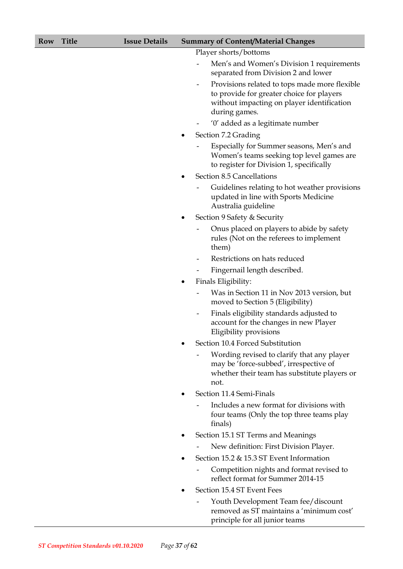#### **Row Title Issue Details Summary of Content/Material Changes**

Player shorts/bottoms

- Men's and Women's Division 1 requirements separated from Division 2 and lower
- Provisions related to tops made more flexible to provide for greater choice for players without impacting on player identification during games.
- '0' added as a legitimate number
- Section 7.2 Grading
	- Especially for Summer seasons, Men's and Women's teams seeking top level games are to register for Division 1, specifically
- Section 8.5 Cancellations
	- Guidelines relating to hot weather provisions updated in line with Sports Medicine Australia guideline
- Section 9 Safety & Security
	- Onus placed on players to abide by safety rules (Not on the referees to implement them)
	- Restrictions on hats reduced
	- Fingernail length described.
- Finals Eligibility:
	- Was in Section 11 in Nov 2013 version, but moved to Section 5 (Eligibility)
	- Finals eligibility standards adjusted to account for the changes in new Player Eligibility provisions
- Section 10.4 Forced Substitution
	- Wording revised to clarify that any player may be 'force-subbed', irrespective of whether their team has substitute players or not.
- Section 11.4 Semi-Finals
	- Includes a new format for divisions with four teams (Only the top three teams play finals)
- Section 15.1 ST Terms and Meanings
	- New definition: First Division Player.
- Section 15.2 & 15.3 ST Event Information
	- Competition nights and format revised to reflect format for Summer 2014-15
- Section 15.4 ST Event Fees
	- Youth Development Team fee/discount removed as ST maintains a 'minimum cost' principle for all junior teams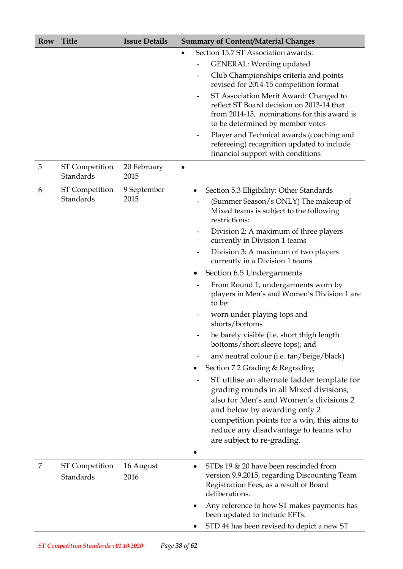| Row | <b>Title</b>                       | <b>Issue Details</b> | <b>Summary of Content/Material Changes</b>                                                                                                                                                                                                                                          |  |
|-----|------------------------------------|----------------------|-------------------------------------------------------------------------------------------------------------------------------------------------------------------------------------------------------------------------------------------------------------------------------------|--|
|     |                                    |                      | Section 15.7 ST Association awards:<br>$\bullet$                                                                                                                                                                                                                                    |  |
|     |                                    |                      | GENERAL: Wording updated                                                                                                                                                                                                                                                            |  |
|     |                                    |                      | Club Championships criteria and points<br>revised for 2014-15 competition format                                                                                                                                                                                                    |  |
|     |                                    |                      | ST Association Merit Award: Changed to<br>reflect ST Board decision on 2013-14 that<br>from 2014-15, nominations for this award is<br>to be determined by member votes                                                                                                              |  |
|     |                                    |                      | Player and Technical awards (coaching and<br>$\qquad \qquad \blacksquare$<br>refereeing) recognition updated to include<br>financial support with conditions                                                                                                                        |  |
| 5   | <b>ST</b> Competition<br>Standards | 20 February<br>2015  |                                                                                                                                                                                                                                                                                     |  |
| 6   | <b>ST</b> Competition              | 9 September          | Section 5.3 Eligibility: Other Standards                                                                                                                                                                                                                                            |  |
|     | Standards                          | 2015                 | (Summer Season/s ONLY) The makeup of<br>Mixed teams is subject to the following<br>restrictions:                                                                                                                                                                                    |  |
|     |                                    |                      | Division 2: A maximum of three players<br>$\overline{\phantom{a}}$<br>currently in Division 1 teams                                                                                                                                                                                 |  |
|     |                                    |                      | Division 3: A maximum of two players<br>currently in a Division 1 teams                                                                                                                                                                                                             |  |
|     |                                    |                      | Section 6.5 Undergarments<br>$\bullet$                                                                                                                                                                                                                                              |  |
|     |                                    |                      | From Round 1, undergarments worn by<br>players in Men's and Women's Division 1 are<br>to be:                                                                                                                                                                                        |  |
|     |                                    |                      | worn under playing tops and<br>shorts/bottoms                                                                                                                                                                                                                                       |  |
|     |                                    |                      | be barely visible (i.e. short thigh length<br>bottoms/short sleeve tops); and                                                                                                                                                                                                       |  |
|     |                                    |                      | any neutral colour (i.e. tan/beige/black)                                                                                                                                                                                                                                           |  |
|     |                                    |                      | Section 7.2 Grading & Regrading                                                                                                                                                                                                                                                     |  |
|     |                                    |                      | ST utilise an alternate ladder template for<br>grading rounds in all Mixed divisions,<br>also for Men's and Women's divisions 2<br>and below by awarding only 2<br>competition points for a win, this aims to<br>reduce any disadvantage to teams who<br>are subject to re-grading. |  |
|     |                                    |                      |                                                                                                                                                                                                                                                                                     |  |
| 7   | <b>ST</b> Competition<br>Standards | 16 August<br>2016    | STDs 19 & 20 have been rescinded from<br>version 9.9.2015, regarding Discounting Team<br>Registration Fees, as a result of Board<br>deliberations.                                                                                                                                  |  |
|     |                                    |                      | Any reference to how ST makes payments has<br>been updated to include EFTs.                                                                                                                                                                                                         |  |
|     |                                    |                      | STD 44 has been revised to depict a new ST                                                                                                                                                                                                                                          |  |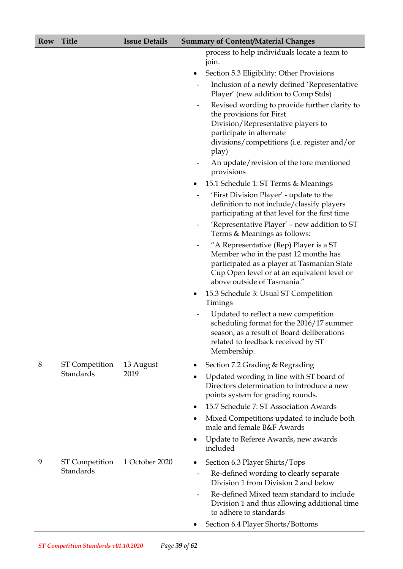| <b>Title</b> |
|--------------|
|              |

|                          | process to help individuals locate a team to |  |
|--------------------------|----------------------------------------------|--|
| $\cdot$ $\cdot$<br>101n. |                                              |  |

- Section 5.3 Eligibility: Other Provisions
- Inclusion of a newly defined 'Representative Player' (new addition to Comp Stds)
- Revised wording to provide further clarity to the provisions for First Division/Representative players to participate in alternate divisions/competitions (i.e. register and/or play)
- An update/revision of the fore mentioned provisions
- 15.1 Schedule 1: ST Terms & Meanings

|   |                                           |                   |           | 'First Division Player' - update to the<br>definition to not include/classify players<br>participating at that level for the first time<br>'Representative Player' - new addition to ST<br>Terms & Meanings as follows:<br>"A Representative (Rep) Player is a ST<br>Member who in the past 12 months has<br>participated as a player at Tasmanian State<br>Cup Open level or at an equivalent level or<br>above outside of Tasmania."<br>15.3 Schedule 3: Usual ST Competition<br>Timings |
|---|-------------------------------------------|-------------------|-----------|--------------------------------------------------------------------------------------------------------------------------------------------------------------------------------------------------------------------------------------------------------------------------------------------------------------------------------------------------------------------------------------------------------------------------------------------------------------------------------------------|
|   |                                           |                   |           | Updated to reflect a new competition<br>scheduling format for the 2016/17 summer<br>season, as a result of Board deliberations<br>related to feedback received by ST<br>Membership.                                                                                                                                                                                                                                                                                                        |
| 8 | <b>ST Competition</b><br><b>Standards</b> | 13 August<br>2019 | ٠<br>٠    | Section 7.2 Grading & Regrading<br>Updated wording in line with ST board of<br>Directors determination to introduce a new<br>points system for grading rounds.                                                                                                                                                                                                                                                                                                                             |
|   |                                           |                   |           | 15.7 Schedule 7: ST Association Awards                                                                                                                                                                                                                                                                                                                                                                                                                                                     |
|   |                                           |                   | $\bullet$ | Mixed Competitions updated to include both<br>male and female B&F Awards                                                                                                                                                                                                                                                                                                                                                                                                                   |
|   |                                           |                   | $\bullet$ | Update to Referee Awards, new awards<br>included                                                                                                                                                                                                                                                                                                                                                                                                                                           |
| 9 | <b>ST Competition</b>                     | 1 October 2020    | ٠         | Section 6.3 Player Shirts/Tops                                                                                                                                                                                                                                                                                                                                                                                                                                                             |
|   | <b>Standards</b>                          |                   |           | Re-defined wording to clearly separate<br>Division 1 from Division 2 and below                                                                                                                                                                                                                                                                                                                                                                                                             |
|   |                                           |                   |           | Re-defined Mixed team standard to include<br>Division 1 and thus allowing additional time<br>to adhere to standards                                                                                                                                                                                                                                                                                                                                                                        |
|   |                                           |                   |           | Section 6.4 Player Shorts/Bottoms                                                                                                                                                                                                                                                                                                                                                                                                                                                          |
|   |                                           |                   |           |                                                                                                                                                                                                                                                                                                                                                                                                                                                                                            |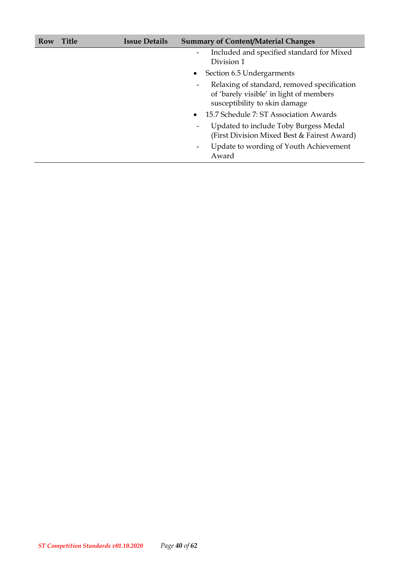| Row | <b>Title</b> | <b>Issue Details</b> | <b>Summary of Content/Material Changes</b>                                                                                   |
|-----|--------------|----------------------|------------------------------------------------------------------------------------------------------------------------------|
|     |              |                      | Included and specified standard for Mixed<br>$\qquad \qquad \blacksquare$<br>Division 1                                      |
|     |              |                      | Section 6.5 Undergarments<br>$\bullet$                                                                                       |
|     |              |                      | Relaxing of standard, removed specification<br>-<br>of 'barely visible' in light of members<br>susceptibility to skin damage |
|     |              |                      | 15.7 Schedule 7: ST Association Awards<br>$\bullet$                                                                          |
|     |              |                      | Updated to include Toby Burgess Medal<br>-<br>(First Division Mixed Best & Fairest Award)                                    |
|     |              |                      | Update to wording of Youth Achievement<br>-<br>Award                                                                         |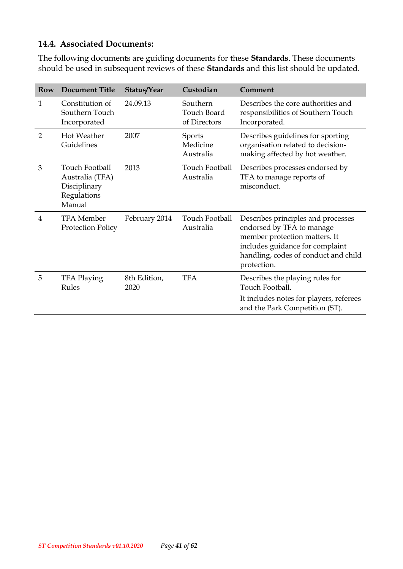#### <span id="page-40-0"></span>**14.4. Associated Documents:**

The following documents are guiding documents for these **Standards**. These documents should be used in subsequent reviews of these **Standards** and this list should be updated.

| Row            | <b>Document Title</b>                                                      | Status/Year          | Custodian                                      | Comment                                                                                                                                                                                    |
|----------------|----------------------------------------------------------------------------|----------------------|------------------------------------------------|--------------------------------------------------------------------------------------------------------------------------------------------------------------------------------------------|
| 1              | Constitution of<br>Southern Touch<br>Incorporated                          | 24.09.13             | Southern<br><b>Touch Board</b><br>of Directors | Describes the core authorities and<br>responsibilities of Southern Touch<br>Incorporated.                                                                                                  |
| $\overline{2}$ | <b>Hot Weather</b><br>Guidelines                                           | 2007                 | <b>Sports</b><br>Medicine<br>Australia         | Describes guidelines for sporting<br>organisation related to decision-<br>making affected by hot weather.                                                                                  |
| 3              | Touch Football<br>Australia (TFA)<br>Disciplinary<br>Regulations<br>Manual | 2013                 | Touch Football<br>Australia                    | Describes processes endorsed by<br>TFA to manage reports of<br>misconduct.                                                                                                                 |
| 4              | <b>TFA</b> Member<br><b>Protection Policy</b>                              | February 2014        | Touch Football<br>Australia                    | Describes principles and processes<br>endorsed by TFA to manage<br>member protection matters. It<br>includes guidance for complaint<br>handling, codes of conduct and child<br>protection. |
| 5              | <b>TFA Playing</b><br>Rules                                                | 8th Edition,<br>2020 | <b>TFA</b>                                     | Describes the playing rules for<br>Touch Football.<br>It includes notes for players, referees                                                                                              |
|                |                                                                            |                      |                                                | and the Park Competition (ST).                                                                                                                                                             |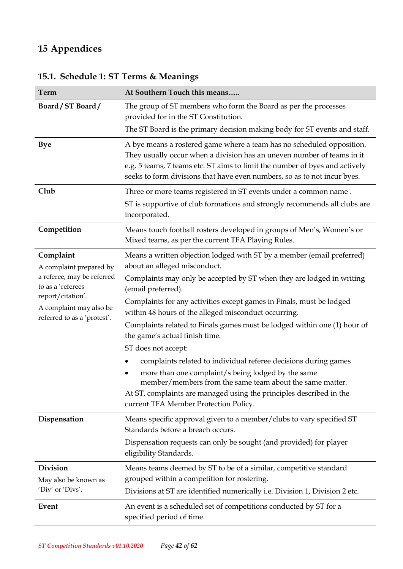# <span id="page-41-0"></span>**15 Appendices**

| Term                                                                        | At Southern Touch this means                                                                                                                                                                                                                                                                               |
|-----------------------------------------------------------------------------|------------------------------------------------------------------------------------------------------------------------------------------------------------------------------------------------------------------------------------------------------------------------------------------------------------|
| Board/ST Board/                                                             | The group of ST members who form the Board as per the processes<br>provided for in the ST Constitution.                                                                                                                                                                                                    |
|                                                                             | The ST Board is the primary decision making body for ST events and staff.                                                                                                                                                                                                                                  |
| <b>Bye</b>                                                                  | A bye means a rostered game where a team has no scheduled opposition.<br>They usually occur when a division has an uneven number of teams in it<br>e.g. 5 teams, 7 teams etc. ST aims to limit the number of byes and actively<br>seeks to form divisions that have even numbers, so as to not incur byes. |
| Club                                                                        | Three or more teams registered in ST events under a common name.                                                                                                                                                                                                                                           |
|                                                                             | ST is supportive of club formations and strongly recommends all clubs are<br>incorporated.                                                                                                                                                                                                                 |
| Competition                                                                 | Means touch football rosters developed in groups of Men's, Women's or<br>Mixed teams, as per the current TFA Playing Rules.                                                                                                                                                                                |
| Complaint<br>A complaint prepared by                                        | Means a written objection lodged with ST by a member (email preferred)<br>about an alleged misconduct.                                                                                                                                                                                                     |
| a referee, may be referred<br>to as a 'referees                             | Complaints may only be accepted by ST when they are lodged in writing<br>(email preferred).                                                                                                                                                                                                                |
| report/citation'.<br>A complaint may also be<br>referred to as a 'protest'. | Complaints for any activities except games in Finals, must be lodged<br>within 48 hours of the alleged misconduct occurring.                                                                                                                                                                               |
|                                                                             | Complaints related to Finals games must be lodged within one (1) hour of<br>the game's actual finish time.                                                                                                                                                                                                 |
|                                                                             | ST does not accept:                                                                                                                                                                                                                                                                                        |
|                                                                             | complaints related to individual referee decisions during games<br>more than one complaint/s being lodged by the same<br>member/members from the same team about the same matter.<br>At ST, complaints are managed using the principles described in the<br>current TFA Member Protection Policy.          |
| Dispensation                                                                | Means specific approval given to a member/clubs to vary specified ST<br>Standards before a breach occurs.                                                                                                                                                                                                  |
|                                                                             | Dispensation requests can only be sought (and provided) for player<br>eligibility Standards.                                                                                                                                                                                                               |
| <b>Division</b>                                                             | Means teams deemed by ST to be of a similar, competitive standard                                                                                                                                                                                                                                          |
| May also be known as                                                        | grouped within a competition for rostering.                                                                                                                                                                                                                                                                |
| 'Div' or 'Divs'.                                                            | Divisions at ST are identified numerically i.e. Division 1, Division 2 etc.                                                                                                                                                                                                                                |
| Event                                                                       | An event is a scheduled set of competitions conducted by ST for a<br>specified period of time.                                                                                                                                                                                                             |

# <span id="page-41-1"></span>**15.1. Schedule 1: ST Terms & Meanings**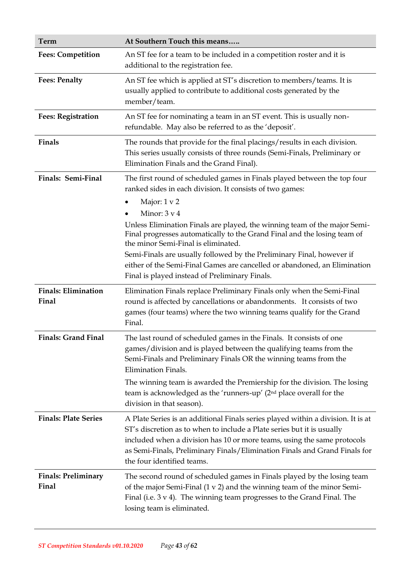| Term                                | At Southern Touch this means                                                                                                                                                                                                                                                                                                                                                                                                                                                                                                                                                            |
|-------------------------------------|-----------------------------------------------------------------------------------------------------------------------------------------------------------------------------------------------------------------------------------------------------------------------------------------------------------------------------------------------------------------------------------------------------------------------------------------------------------------------------------------------------------------------------------------------------------------------------------------|
| <b>Fees: Competition</b>            | An ST fee for a team to be included in a competition roster and it is<br>additional to the registration fee.                                                                                                                                                                                                                                                                                                                                                                                                                                                                            |
| <b>Fees: Penalty</b>                | An ST fee which is applied at ST's discretion to members/teams. It is<br>usually applied to contribute to additional costs generated by the<br>member/team.                                                                                                                                                                                                                                                                                                                                                                                                                             |
| <b>Fees: Registration</b>           | An ST fee for nominating a team in an ST event. This is usually non-<br>refundable. May also be referred to as the 'deposit'.                                                                                                                                                                                                                                                                                                                                                                                                                                                           |
| Finals                              | The rounds that provide for the final placings/results in each division.<br>This series usually consists of three rounds (Semi-Finals, Preliminary or<br>Elimination Finals and the Grand Final).                                                                                                                                                                                                                                                                                                                                                                                       |
| Finals: Semi-Final                  | The first round of scheduled games in Finals played between the top four<br>ranked sides in each division. It consists of two games:<br>Major: 1 v 2<br>Minor: $3 \text{ v } 4$<br>Unless Elimination Finals are played, the winning team of the major Semi-<br>Final progresses automatically to the Grand Final and the losing team of<br>the minor Semi-Final is eliminated.<br>Semi-Finals are usually followed by the Preliminary Final, however if<br>either of the Semi-Final Games are cancelled or abandoned, an Elimination<br>Final is played instead of Preliminary Finals. |
| <b>Finals: Elimination</b><br>Final | Elimination Finals replace Preliminary Finals only when the Semi-Final<br>round is affected by cancellations or abandonments. It consists of two<br>games (four teams) where the two winning teams qualify for the Grand<br>Final.                                                                                                                                                                                                                                                                                                                                                      |
| <b>Finals: Grand Final</b>          | The last round of scheduled games in the Finals. It consists of one<br>games/division and is played between the qualifying teams from the<br>Semi-Finals and Preliminary Finals OR the winning teams from the<br><b>Elimination Finals.</b><br>The winning team is awarded the Premiership for the division. The losing<br>team is acknowledged as the 'runners-up' (2 <sup>nd</sup> place overall for the<br>division in that season).                                                                                                                                                 |
| <b>Finals: Plate Series</b>         | A Plate Series is an additional Finals series played within a division. It is at<br>ST's discretion as to when to include a Plate series but it is usually<br>included when a division has 10 or more teams, using the same protocols<br>as Semi-Finals, Preliminary Finals/Elimination Finals and Grand Finals for<br>the four identified teams.                                                                                                                                                                                                                                       |
| <b>Finals: Preliminary</b><br>Final | The second round of scheduled games in Finals played by the losing team<br>of the major Semi-Final $(1 \vee 2)$ and the winning team of the minor Semi-<br>Final (i.e. $3 \vee 4$ ). The winning team progresses to the Grand Final. The<br>losing team is eliminated.                                                                                                                                                                                                                                                                                                                  |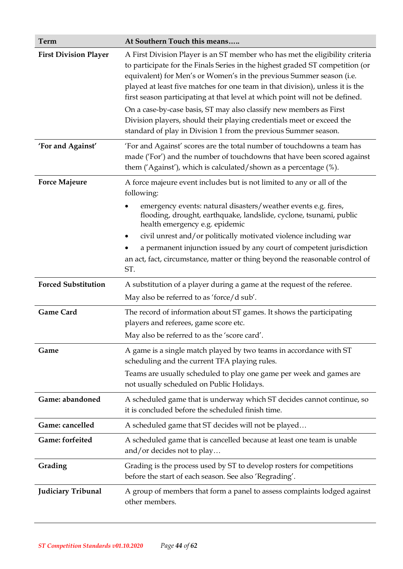| Term                         | At Southern Touch this means                                                                                                                                                                                                                                                                                                                                                                                                                                                                                                                                                                                             |  |
|------------------------------|--------------------------------------------------------------------------------------------------------------------------------------------------------------------------------------------------------------------------------------------------------------------------------------------------------------------------------------------------------------------------------------------------------------------------------------------------------------------------------------------------------------------------------------------------------------------------------------------------------------------------|--|
| <b>First Division Player</b> | A First Division Player is an ST member who has met the eligibility criteria<br>to participate for the Finals Series in the highest graded ST competition (or<br>equivalent) for Men's or Women's in the previous Summer season (i.e.<br>played at least five matches for one team in that division), unless it is the<br>first season participating at that level at which point will not be defined.<br>On a case-by-case basis, ST may also classify new members as First<br>Division players, should their playing credentials meet or exceed the<br>standard of play in Division 1 from the previous Summer season. |  |
| 'For and Against'            | 'For and Against' scores are the total number of touchdowns a team has<br>made ('For') and the number of touchdowns that have been scored against<br>them ('Against'), which is calculated/shown as a percentage (%).                                                                                                                                                                                                                                                                                                                                                                                                    |  |
| <b>Force Majeure</b>         | A force majeure event includes but is not limited to any or all of the<br>following:<br>emergency events: natural disasters/weather events e.g. fires,<br>flooding, drought, earthquake, landslide, cyclone, tsunami, public<br>health emergency e.g. epidemic<br>civil unrest and/or politically motivated violence including war<br>٠<br>a permanent injunction issued by any court of competent jurisdiction<br>an act, fact, circumstance, matter or thing beyond the reasonable control of<br>ST.                                                                                                                   |  |
| <b>Forced Substitution</b>   | A substitution of a player during a game at the request of the referee.<br>May also be referred to as 'force/d sub'.                                                                                                                                                                                                                                                                                                                                                                                                                                                                                                     |  |
| <b>Game Card</b>             | The record of information about ST games. It shows the participating<br>players and referees, game score etc.<br>May also be referred to as the 'score card'.                                                                                                                                                                                                                                                                                                                                                                                                                                                            |  |
| Game                         | A game is a single match played by two teams in accordance with ST<br>scheduling and the current TFA playing rules.<br>Teams are usually scheduled to play one game per week and games are<br>not usually scheduled on Public Holidays.                                                                                                                                                                                                                                                                                                                                                                                  |  |
| Game: abandoned              | A scheduled game that is underway which ST decides cannot continue, so<br>it is concluded before the scheduled finish time.                                                                                                                                                                                                                                                                                                                                                                                                                                                                                              |  |
| Game: cancelled              | A scheduled game that ST decides will not be played                                                                                                                                                                                                                                                                                                                                                                                                                                                                                                                                                                      |  |
| Game: forfeited              | A scheduled game that is cancelled because at least one team is unable<br>and/or decides not to play                                                                                                                                                                                                                                                                                                                                                                                                                                                                                                                     |  |
| Grading                      | Grading is the process used by ST to develop rosters for competitions<br>before the start of each season. See also 'Regrading'.                                                                                                                                                                                                                                                                                                                                                                                                                                                                                          |  |
| Judiciary Tribunal           | A group of members that form a panel to assess complaints lodged against<br>other members.                                                                                                                                                                                                                                                                                                                                                                                                                                                                                                                               |  |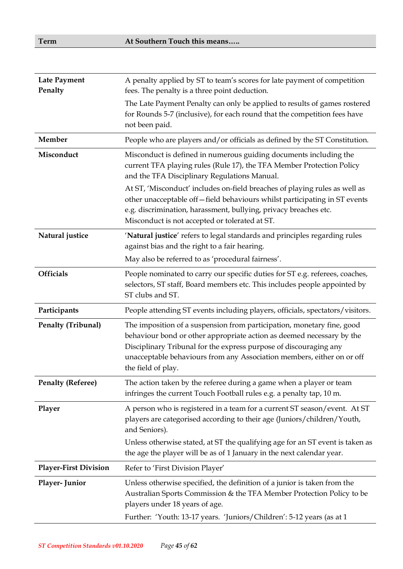| A penalty applied by ST to team's scores for late payment of competition<br><b>Late Payment</b><br>Penalty<br>fees. The penalty is a three point deduction.<br>The Late Payment Penalty can only be applied to results of games rostered<br>for Rounds 5-7 (inclusive), for each round that the competition fees have<br>not been paid.<br>Member<br>People who are players and/or officials as defined by the ST Constitution.<br>Misconduct is defined in numerous guiding documents including the<br>Misconduct<br>current TFA playing rules (Rule 17), the TFA Member Protection Policy |  |
|---------------------------------------------------------------------------------------------------------------------------------------------------------------------------------------------------------------------------------------------------------------------------------------------------------------------------------------------------------------------------------------------------------------------------------------------------------------------------------------------------------------------------------------------------------------------------------------------|--|
|                                                                                                                                                                                                                                                                                                                                                                                                                                                                                                                                                                                             |  |
|                                                                                                                                                                                                                                                                                                                                                                                                                                                                                                                                                                                             |  |
|                                                                                                                                                                                                                                                                                                                                                                                                                                                                                                                                                                                             |  |
| and the TFA Disciplinary Regulations Manual.                                                                                                                                                                                                                                                                                                                                                                                                                                                                                                                                                |  |
| At ST, 'Misconduct' includes on-field breaches of playing rules as well as<br>other unacceptable off-field behaviours whilst participating in ST events<br>e.g. discrimination, harassment, bullying, privacy breaches etc.<br>Misconduct is not accepted or tolerated at ST.                                                                                                                                                                                                                                                                                                               |  |
| 'Natural justice' refers to legal standards and principles regarding rules<br>Natural justice<br>against bias and the right to a fair hearing.                                                                                                                                                                                                                                                                                                                                                                                                                                              |  |
| May also be referred to as 'procedural fairness'.                                                                                                                                                                                                                                                                                                                                                                                                                                                                                                                                           |  |
| <b>Officials</b><br>People nominated to carry our specific duties for ST e.g. referees, coaches,<br>selectors, ST staff, Board members etc. This includes people appointed by<br>ST clubs and ST.                                                                                                                                                                                                                                                                                                                                                                                           |  |
| Participants<br>People attending ST events including players, officials, spectators/visitors.                                                                                                                                                                                                                                                                                                                                                                                                                                                                                               |  |
| <b>Penalty (Tribunal)</b><br>The imposition of a suspension from participation, monetary fine, good<br>behaviour bond or other appropriate action as deemed necessary by the<br>Disciplinary Tribunal for the express purpose of discouraging any<br>unacceptable behaviours from any Association members, either on or off<br>the field of play.                                                                                                                                                                                                                                           |  |
| <b>Penalty (Referee)</b><br>The action taken by the referee during a game when a player or team<br>infringes the current Touch Football rules e.g. a penalty tap, 10 m.                                                                                                                                                                                                                                                                                                                                                                                                                     |  |
| A person who is registered in a team for a current ST season/event. At ST<br>Player<br>players are categorised according to their age (Juniors/children/Youth,<br>and Seniors).                                                                                                                                                                                                                                                                                                                                                                                                             |  |
| Unless otherwise stated, at ST the qualifying age for an ST event is taken as<br>the age the player will be as of 1 January in the next calendar year.                                                                                                                                                                                                                                                                                                                                                                                                                                      |  |
| <b>Player-First Division</b><br>Refer to 'First Division Player'                                                                                                                                                                                                                                                                                                                                                                                                                                                                                                                            |  |
| Unless otherwise specified, the definition of a junior is taken from the<br>Player-Junior<br>Australian Sports Commission & the TFA Member Protection Policy to be<br>players under 18 years of age.<br>Further: 'Youth: 13-17 years. 'Juniors/Children': 5-12 years (as at 1                                                                                                                                                                                                                                                                                                               |  |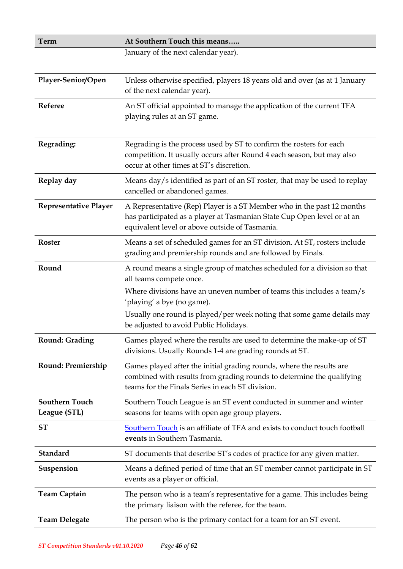| <b>Term</b>                           | At Southern Touch this means                                                                                                                                                                        |  |
|---------------------------------------|-----------------------------------------------------------------------------------------------------------------------------------------------------------------------------------------------------|--|
|                                       | January of the next calendar year).                                                                                                                                                                 |  |
|                                       |                                                                                                                                                                                                     |  |
| Player-Senior/Open                    | Unless otherwise specified, players 18 years old and over (as at 1 January<br>of the next calendar year).                                                                                           |  |
| Referee                               | An ST official appointed to manage the application of the current TFA<br>playing rules at an ST game.                                                                                               |  |
| Regrading:                            | Regrading is the process used by ST to confirm the rosters for each<br>competition. It usually occurs after Round 4 each season, but may also<br>occur at other times at ST's discretion.           |  |
| Replay day                            | Means day/s identified as part of an ST roster, that may be used to replay<br>cancelled or abandoned games.                                                                                         |  |
| <b>Representative Player</b>          | A Representative (Rep) Player is a ST Member who in the past 12 months<br>has participated as a player at Tasmanian State Cup Open level or at an<br>equivalent level or above outside of Tasmania. |  |
| <b>Roster</b>                         | Means a set of scheduled games for an ST division. At ST, rosters include<br>grading and premiership rounds and are followed by Finals.                                                             |  |
| Round                                 | A round means a single group of matches scheduled for a division so that<br>all teams compete once.                                                                                                 |  |
|                                       | Where divisions have an uneven number of teams this includes a team/s<br>'playing' a bye (no game).                                                                                                 |  |
|                                       | Usually one round is played/per week noting that some game details may<br>be adjusted to avoid Public Holidays.                                                                                     |  |
| <b>Round: Grading</b>                 | Games played where the results are used to determine the make-up of ST<br>divisions. Usually Rounds 1-4 are grading rounds at ST.                                                                   |  |
| <b>Round: Premiership</b>             | Games played after the initial grading rounds, where the results are<br>combined with results from grading rounds to determine the qualifying<br>teams for the Finals Series in each ST division.   |  |
| <b>Southern Touch</b><br>League (STL) | Southern Touch League is an ST event conducted in summer and winter<br>seasons for teams with open age group players.                                                                               |  |
| <b>ST</b>                             | Southern Touch is an affiliate of TFA and exists to conduct touch football<br>events in Southern Tasmania.                                                                                          |  |
| Standard                              | ST documents that describe ST's codes of practice for any given matter.                                                                                                                             |  |
| Suspension                            | Means a defined period of time that an ST member cannot participate in ST<br>events as a player or official.                                                                                        |  |
| <b>Team Captain</b>                   | The person who is a team's representative for a game. This includes being<br>the primary liaison with the referee, for the team.                                                                    |  |
| <b>Team Delegate</b>                  | The person who is the primary contact for a team for an ST event.                                                                                                                                   |  |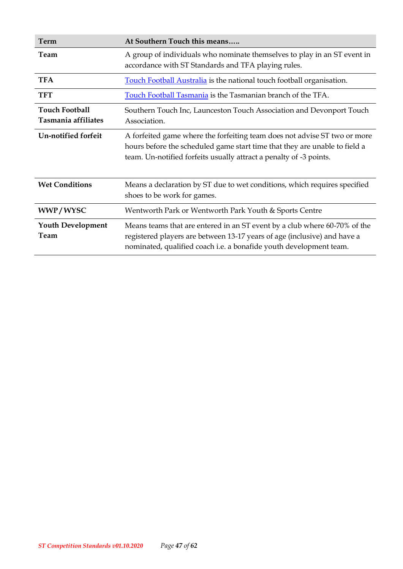| Term                                         | At Southern Touch this means                                                                                                                                                                                                  |
|----------------------------------------------|-------------------------------------------------------------------------------------------------------------------------------------------------------------------------------------------------------------------------------|
| Team                                         | A group of individuals who nominate themselves to play in an ST event in<br>accordance with ST Standards and TFA playing rules.                                                                                               |
| <b>TFA</b>                                   | <b>Touch Football Australia</b> is the national touch football organisation.                                                                                                                                                  |
| <b>TFT</b>                                   | Touch Football Tasmania is the Tasmanian branch of the TFA.                                                                                                                                                                   |
| <b>Touch Football</b><br>Tasmania affiliates | Southern Touch Inc, Launceston Touch Association and Devonport Touch<br>Association.                                                                                                                                          |
| <b>Un-notified forfeit</b>                   | A forfeited game where the forfeiting team does not advise ST two or more<br>hours before the scheduled game start time that they are unable to field a<br>team. Un-notified forfeits usually attract a penalty of -3 points. |
| <b>Wet Conditions</b>                        | Means a declaration by ST due to wet conditions, which requires specified<br>shoes to be work for games.                                                                                                                      |
| WWP/WYSC                                     | Wentworth Park or Wentworth Park Youth & Sports Centre                                                                                                                                                                        |
| <b>Youth Development</b><br>Team             | Means teams that are entered in an ST event by a club where 60-70% of the<br>registered players are between 13-17 years of age (inclusive) and have a<br>nominated, qualified coach i.e. a bonafide youth development team.   |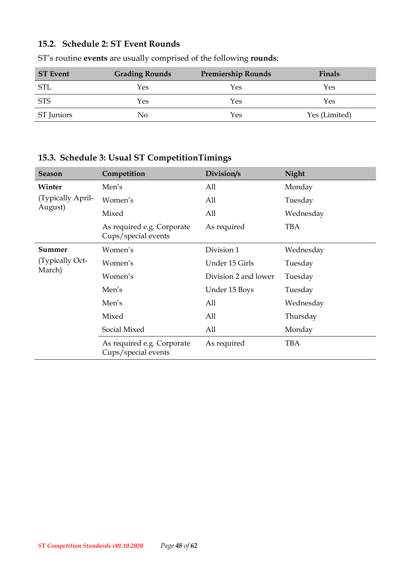### <span id="page-47-0"></span>**15.2. Schedule 2: ST Event Rounds**

| <b>ST</b> Event | <b>Grading Rounds</b> | <b>Premiership Rounds</b> | Finals        |
|-----------------|-----------------------|---------------------------|---------------|
| <b>STL</b>      | Yes                   | Yes                       | Yes           |
| <b>STS</b>      | Yes                   | Yes                       | Yes           |
| ST Juniors      | No                    | Yes                       | Yes (Limited) |

ST's routine **events** are usually comprised of the following **rounds**:

### <span id="page-47-1"></span>**15.3. Schedule 3: Usual ST CompetitionTimings**

| Season            | Competition                                       | Division/s           | <b>Night</b> |
|-------------------|---------------------------------------------------|----------------------|--------------|
| Winter            | Men's                                             | All                  | Monday       |
| (Typically April- | Women's                                           | All                  | Tuesday      |
| August)           | Mixed                                             | All                  | Wednesday    |
|                   | As required e.g. Corporate<br>Cups/special events | As required          | <b>TBA</b>   |
| Summer            | Women's                                           | Division 1           | Wednesday    |
| (Typically Oct-   | Women's                                           | Under 15 Girls       | Tuesday      |
| March)            | Women's                                           | Division 2 and lower | Tuesday      |
|                   | Men's                                             | Under 15 Boys        | Tuesday      |
|                   | Men's                                             | All                  | Wednesday    |
|                   | Mixed                                             | All                  | Thursday     |
|                   | Social Mixed                                      | All                  | Monday       |
|                   | As required e.g. Corporate<br>Cups/special events | As required          | <b>TBA</b>   |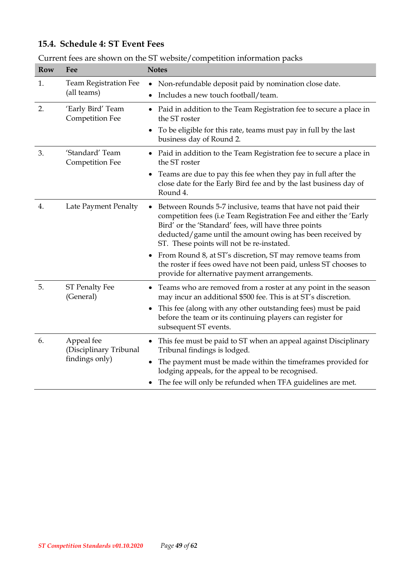### <span id="page-48-0"></span>**15.4. Schedule 4: ST Event Fees**

| <b>Row</b> | Fee                                                    | <b>Notes</b>                                                                                                                                                                                                                                                                                             |
|------------|--------------------------------------------------------|----------------------------------------------------------------------------------------------------------------------------------------------------------------------------------------------------------------------------------------------------------------------------------------------------------|
| 1.         | Team Registration Fee<br>(all teams)                   | Non-refundable deposit paid by nomination close date.<br>٠<br>Includes a new touch football/team.                                                                                                                                                                                                        |
| 2.         | 'Early Bird' Team<br><b>Competition Fee</b>            | Paid in addition to the Team Registration fee to secure a place in<br>٠<br>the ST roster<br>To be eligible for this rate, teams must pay in full by the last                                                                                                                                             |
| 3.         | 'Standard' Team<br><b>Competition Fee</b>              | business day of Round 2.<br>• Paid in addition to the Team Registration fee to secure a place in<br>the ST roster                                                                                                                                                                                        |
|            |                                                        | Teams are due to pay this fee when they pay in full after the<br>close date for the Early Bird fee and by the last business day of<br>Round 4.                                                                                                                                                           |
| 4.         | Late Payment Penalty                                   | Between Rounds 5-7 inclusive, teams that have not paid their<br>٠<br>competition fees (i.e Team Registration Fee and either the 'Early<br>Bird' or the 'Standard' fees, will have three points<br>deducted/game until the amount owing has been received by<br>ST. These points will not be re-instated. |
|            |                                                        | From Round 8, at ST's discretion, ST may remove teams from<br>$\bullet$<br>the roster if fees owed have not been paid, unless ST chooses to<br>provide for alternative payment arrangements.                                                                                                             |
| 5.         | <b>ST Penalty Fee</b><br>(General)                     | Teams who are removed from a roster at any point in the season<br>may incur an additional \$500 fee. This is at ST's discretion.<br>This fee (along with any other outstanding fees) must be paid<br>before the team or its continuing players can register for<br>subsequent ST events.                 |
| 6.         | Appeal fee<br>(Disciplinary Tribunal<br>findings only) | This fee must be paid to ST when an appeal against Disciplinary<br>Tribunal findings is lodged.<br>The payment must be made within the timeframes provided for<br>lodging appeals, for the appeal to be recognised.<br>The fee will only be refunded when TFA guidelines are met.                        |

Current fees are shown on the ST website/competition information packs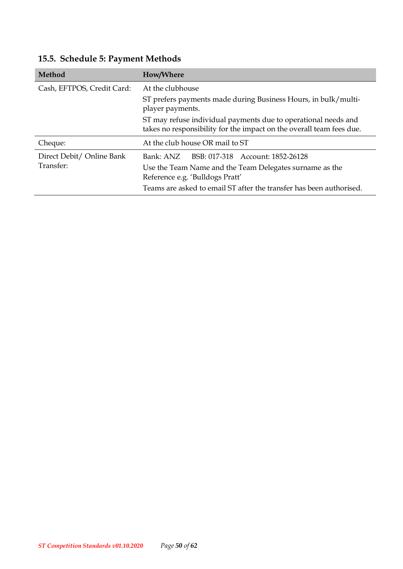| Method                     | How/Where                                                                                                                              |  |
|----------------------------|----------------------------------------------------------------------------------------------------------------------------------------|--|
| Cash, EFTPOS, Credit Card: | At the clubhouse                                                                                                                       |  |
|                            | ST prefers payments made during Business Hours, in bulk/multi-<br>player payments.                                                     |  |
|                            | ST may refuse individual payments due to operational needs and<br>takes no responsibility for the impact on the overall team fees due. |  |
| Cheque:                    | At the club house OR mail to ST                                                                                                        |  |
| Direct Debit/ Online Bank  | Bank: ANZ BSB: 017-318 Account: 1852-26128                                                                                             |  |
| Transfer:                  | Use the Team Name and the Team Delegates surname as the<br>Reference e.g. 'Bulldogs Pratt'                                             |  |
|                            | Teams are asked to email ST after the transfer has been authorised.                                                                    |  |

# <span id="page-49-0"></span>**15.5. Schedule 5: Payment Methods**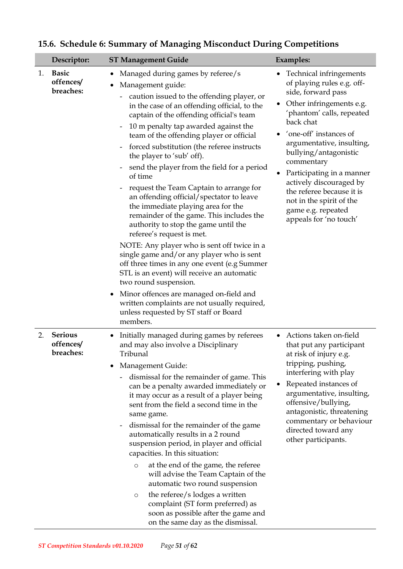|    | Descriptor:                              | <b>ST Management Guide</b>                                                                                                                                                                                                                                                                                                                                                                                                                                                                                                                                                                                                                                                                                                                                                                                                                                                                                                                                                                                                                                                          | <b>Examples:</b>                                                                                                                                                                                                                                                                                                                                                                                                              |
|----|------------------------------------------|-------------------------------------------------------------------------------------------------------------------------------------------------------------------------------------------------------------------------------------------------------------------------------------------------------------------------------------------------------------------------------------------------------------------------------------------------------------------------------------------------------------------------------------------------------------------------------------------------------------------------------------------------------------------------------------------------------------------------------------------------------------------------------------------------------------------------------------------------------------------------------------------------------------------------------------------------------------------------------------------------------------------------------------------------------------------------------------|-------------------------------------------------------------------------------------------------------------------------------------------------------------------------------------------------------------------------------------------------------------------------------------------------------------------------------------------------------------------------------------------------------------------------------|
| 1. | <b>Basic</b><br>offences/<br>breaches:   | Managed during games by referee/s<br>Management guide:<br>caution issued to the offending player, or<br>in the case of an offending official, to the<br>captain of the offending official's team<br>10 m penalty tap awarded against the<br>team of the offending player or official<br>forced substitution (the referee instructs<br>$\overline{\phantom{a}}$<br>the player to 'sub' off).<br>send the player from the field for a period<br>of time<br>request the Team Captain to arrange for<br>an offending official/spectator to leave<br>the immediate playing area for the<br>remainder of the game. This includes the<br>authority to stop the game until the<br>referee's request is met.<br>NOTE: Any player who is sent off twice in a<br>single game and/or any player who is sent<br>off three times in any one event (e.g Summer<br>STL is an event) will receive an automatic<br>two round suspension.<br>Minor offences are managed on-field and<br>$\bullet$<br>written complaints are not usually required,<br>unless requested by ST staff or Board<br>members. | Technical infringements<br>of playing rules e.g. off-<br>side, forward pass<br>Other infringements e.g.<br>'phantom' calls, repeated<br>back chat<br>'one-off' instances of<br>argumentative, insulting,<br>bullying/antagonistic<br>commentary<br>Participating in a manner<br>$\bullet$<br>actively discouraged by<br>the referee because it is<br>not in the spirit of the<br>game e.g. repeated<br>appeals for 'no touch' |
| 2. | <b>Serious</b><br>offences/<br>breaches: | Initially managed during games by referees<br>and may also involve a Disciplinary<br>Tribunal<br>Management Guide:<br>dismissal for the remainder of game. This<br>can be a penalty awarded immediately or<br>it may occur as a result of a player being<br>sent from the field a second time in the<br>same game.<br>dismissal for the remainder of the game<br>automatically results in a 2 round<br>suspension period, in player and official<br>capacities. In this situation:<br>at the end of the game, the referee<br>$\circ$<br>will advise the Team Captain of the<br>automatic two round suspension<br>the referee/s lodges a written<br>$\circ$<br>complaint (ST form preferred) as<br>soon as possible after the game and<br>on the same day as the dismissal.                                                                                                                                                                                                                                                                                                          | Actions taken on-field<br>that put any participant<br>at risk of injury e.g.<br>tripping, pushing,<br>interfering with play<br>Repeated instances of<br>argumentative, insulting,<br>offensive/bullying,<br>antagonistic, threatening<br>commentary or behaviour<br>directed toward any<br>other participants.                                                                                                                |

# <span id="page-50-0"></span>**15.6. Schedule 6: Summary of Managing Misconduct During Competitions**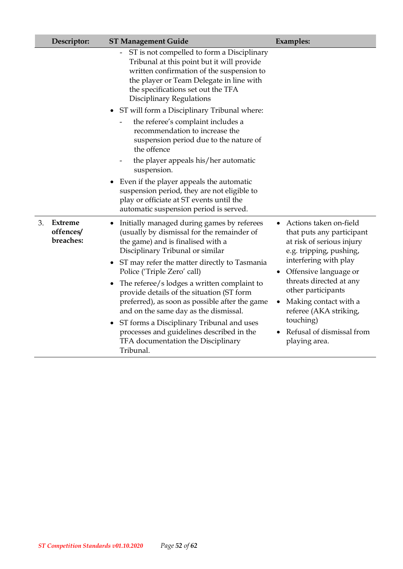|    | Descriptor:                       | <b>ST Management Guide</b>                                                                                                                                                                                                                                                                                   | <b>Examples:</b>                                                                                                                                                                         |
|----|-----------------------------------|--------------------------------------------------------------------------------------------------------------------------------------------------------------------------------------------------------------------------------------------------------------------------------------------------------------|------------------------------------------------------------------------------------------------------------------------------------------------------------------------------------------|
|    |                                   | ST is not compelled to form a Disciplinary<br>Tribunal at this point but it will provide<br>written confirmation of the suspension to<br>the player or Team Delegate in line with<br>the specifications set out the TFA<br><b>Disciplinary Regulations</b>                                                   |                                                                                                                                                                                          |
|    |                                   | • ST will form a Disciplinary Tribunal where:                                                                                                                                                                                                                                                                |                                                                                                                                                                                          |
|    |                                   | the referee's complaint includes a<br>recommendation to increase the<br>suspension period due to the nature of<br>the offence                                                                                                                                                                                |                                                                                                                                                                                          |
|    |                                   | the player appeals his/her automatic<br>suspension.                                                                                                                                                                                                                                                          |                                                                                                                                                                                          |
|    |                                   | Even if the player appeals the automatic<br>$\bullet$<br>suspension period, they are not eligible to<br>play or officiate at ST events until the<br>automatic suspension period is served.                                                                                                                   |                                                                                                                                                                                          |
| 3. | Extreme<br>offences/<br>breaches: | Initially managed during games by referees<br>(usually by dismissal for the remainder of<br>the game) and is finalised with a<br>Disciplinary Tribunal or similar<br>ST may refer the matter directly to Tasmania<br>Police ('Triple Zero' call)<br>The referee/s lodges a written complaint to<br>$\bullet$ | Actions taken on-field<br>that puts any participant<br>at risk of serious injury<br>e.g. tripping, pushing,<br>interfering with play<br>Offensive language or<br>threats directed at any |
|    |                                   | provide details of the situation (ST form<br>preferred), as soon as possible after the game<br>and on the same day as the dismissal.                                                                                                                                                                         | other participants<br>Making contact with a<br>referee (AKA striking,                                                                                                                    |
|    |                                   | ST forms a Disciplinary Tribunal and uses<br>processes and guidelines described in the<br>TFA documentation the Disciplinary<br>Tribunal.                                                                                                                                                                    | touching)<br>Refusal of dismissal from<br>playing area.                                                                                                                                  |

I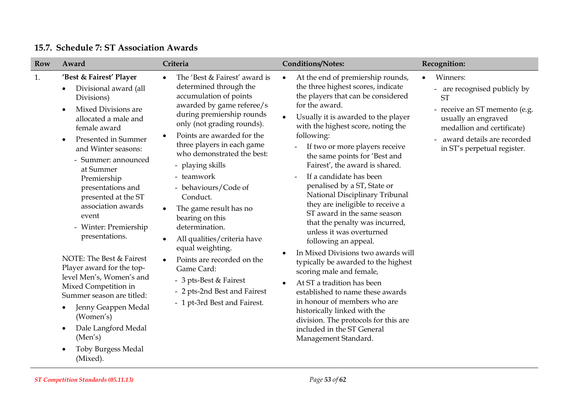<span id="page-52-0"></span>

| <b>Row</b> | Award                                                                                                                                                                                                                                                                                                                                                                                                                                                                                                                                                                                                                      | Criteria                                                                                                                                                                                                                                                                                                                                                                                                                                                                                                                                                                                                       | <b>Conditions/Notes:</b>                                                                                                                                                                                                                                                                                                                                                                                                                                                                                                                                                                                                                                                                                                                                                                                                                                                                                                                   | Recognition:                                                                                                                                                                                                          |
|------------|----------------------------------------------------------------------------------------------------------------------------------------------------------------------------------------------------------------------------------------------------------------------------------------------------------------------------------------------------------------------------------------------------------------------------------------------------------------------------------------------------------------------------------------------------------------------------------------------------------------------------|----------------------------------------------------------------------------------------------------------------------------------------------------------------------------------------------------------------------------------------------------------------------------------------------------------------------------------------------------------------------------------------------------------------------------------------------------------------------------------------------------------------------------------------------------------------------------------------------------------------|--------------------------------------------------------------------------------------------------------------------------------------------------------------------------------------------------------------------------------------------------------------------------------------------------------------------------------------------------------------------------------------------------------------------------------------------------------------------------------------------------------------------------------------------------------------------------------------------------------------------------------------------------------------------------------------------------------------------------------------------------------------------------------------------------------------------------------------------------------------------------------------------------------------------------------------------|-----------------------------------------------------------------------------------------------------------------------------------------------------------------------------------------------------------------------|
| 1.         | 'Best & Fairest' Player<br>Divisional award (all<br>Divisions)<br>Mixed Divisions are<br>$\bullet$<br>allocated a male and<br>female award<br>Presented in Summer<br>and Winter seasons:<br>- Summer: announced<br>at Summer<br>Premiership<br>presentations and<br>presented at the ST<br>association awards<br>event<br>- Winter: Premiership<br>presentations.<br>NOTE: The Best & Fairest<br>Player award for the top-<br>level Men's, Women's and<br>Mixed Competition in<br>Summer season are titled:<br>Jenny Geappen Medal<br>(Women's)<br>Dale Langford Medal<br>(Men's)<br><b>Toby Burgess Medal</b><br>(Mixed). | The 'Best & Fairest' award is<br>determined through the<br>accumulation of points<br>awarded by game referee/s<br>during premiership rounds<br>only (not grading rounds).<br>Points are awarded for the<br>three players in each game<br>who demonstrated the best:<br>- playing skills<br>- teamwork<br>- behaviours/Code of<br>Conduct.<br>The game result has no<br>bearing on this<br>determination.<br>All qualities/criteria have<br>$\bullet$<br>equal weighting.<br>Points are recorded on the<br>Game Card:<br>- 3 pts-Best & Fairest<br>- 2 pts-2nd Best and Fairest<br>- 1 pt-3rd Best and Fairest. | At the end of premiership rounds,<br>$\bullet$<br>the three highest scores, indicate<br>the players that can be considered<br>for the award.<br>Usually it is awarded to the player<br>with the highest score, noting the<br>following:<br>If two or more players receive<br>the same points for 'Best and<br>Fairest', the award is shared.<br>If a candidate has been<br>penalised by a ST, State or<br>National Disciplinary Tribunal<br>they are ineligible to receive a<br>ST award in the same season<br>that the penalty was incurred,<br>unless it was overturned<br>following an appeal.<br>In Mixed Divisions two awards will<br>typically be awarded to the highest<br>scoring male and female,<br>At ST a tradition has been<br>established to name these awards<br>in honour of members who are<br>historically linked with the<br>division. The protocols for this are<br>included in the ST General<br>Management Standard. | Winners:<br>$\bullet$<br>- are recognised publicly by<br><b>ST</b><br>- receive an ST memento (e.g.<br>usually an engraved<br>medallion and certificate)<br>award details are recorded<br>in ST's perpetual register. |

#### **15.7. Schedule 7: ST Association Awards**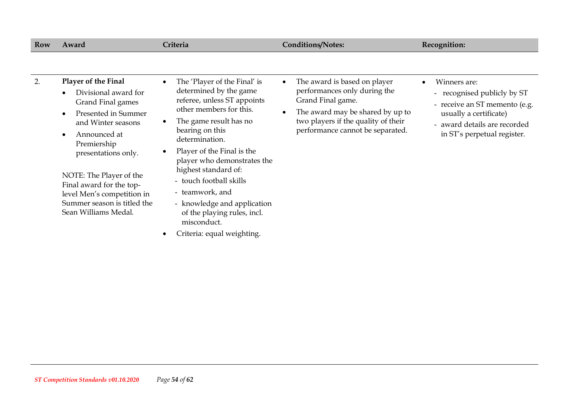| Row | Award                                                                                                                                                                                                                                                                                                           | Criteria                                                                                                                                                                                                                                                                                                                                                                         | <b>Conditions/Notes:</b>                                                                                                                                                                                                   | Recognition:                                                                                                                                                          |
|-----|-----------------------------------------------------------------------------------------------------------------------------------------------------------------------------------------------------------------------------------------------------------------------------------------------------------------|----------------------------------------------------------------------------------------------------------------------------------------------------------------------------------------------------------------------------------------------------------------------------------------------------------------------------------------------------------------------------------|----------------------------------------------------------------------------------------------------------------------------------------------------------------------------------------------------------------------------|-----------------------------------------------------------------------------------------------------------------------------------------------------------------------|
| 2.  | Player of the Final<br>Divisional award for<br>Grand Final games<br>Presented in Summer<br>and Winter seasons<br>Announced at<br>Premiership<br>presentations only.<br>NOTE: The Player of the<br>Final award for the top-<br>level Men's competition in<br>Summer season is titled the<br>Sean Williams Medal. | The 'Player of the Final' is<br>determined by the game<br>referee, unless ST appoints<br>other members for this.<br>The game result has no<br>bearing on this<br>determination.<br>Player of the Final is the<br>player who demonstrates the<br>highest standard of:<br>- touch football skills<br>- teamwork, and<br>- knowledge and application<br>of the playing rules, incl. | The award is based on player<br>$\bullet$<br>performances only during the<br>Grand Final game.<br>The award may be shared by up to<br>$\bullet$<br>two players if the quality of their<br>performance cannot be separated. | Winners are:<br>- recognised publicly by ST<br>- receive an ST memento (e.g.<br>usually a certificate)<br>- award details are recorded<br>in ST's perpetual register. |
|     |                                                                                                                                                                                                                                                                                                                 | misconduct.<br>Criteria: equal weighting.                                                                                                                                                                                                                                                                                                                                        |                                                                                                                                                                                                                            |                                                                                                                                                                       |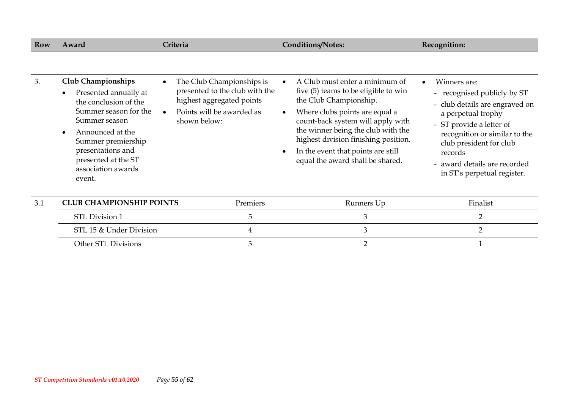| Row | Award                                                                                                                                                                                                                                       | Criteria                                                                                                                                                        | <b>Conditions/Notes:</b>                                                                                                                                                                                                                                                                                                        | Recognition:                                                                                                                                                                                                                                                          |
|-----|---------------------------------------------------------------------------------------------------------------------------------------------------------------------------------------------------------------------------------------------|-----------------------------------------------------------------------------------------------------------------------------------------------------------------|---------------------------------------------------------------------------------------------------------------------------------------------------------------------------------------------------------------------------------------------------------------------------------------------------------------------------------|-----------------------------------------------------------------------------------------------------------------------------------------------------------------------------------------------------------------------------------------------------------------------|
| 3.  | <b>Club Championships</b><br>Presented annually at<br>the conclusion of the<br>Summer season for the<br>Summer season<br>Announced at the<br>Summer premiership<br>presentations and<br>presented at the ST<br>association awards<br>event. | The Club Championships is<br>$\bullet$<br>presented to the club with the<br>highest aggregated points<br>Points will be awarded as<br>$\bullet$<br>shown below: | A Club must enter a minimum of<br>five (5) teams to be eligible to win<br>the Club Championship.<br>Where clubs points are equal a<br>count-back system will apply with<br>the winner being the club with the<br>highest division finishing position.<br>In the event that points are still<br>equal the award shall be shared. | Winners are:<br>- recognised publicly by ST<br>- club details are engraved on<br>a perpetual trophy<br>- ST provide a letter of<br>recognition or similar to the<br>club president for club<br>records<br>- award details are recorded<br>in ST's perpetual register. |
| 3.1 | <b>CLUB CHAMPIONSHIP POINTS</b>                                                                                                                                                                                                             | Premiers                                                                                                                                                        | Runners Up                                                                                                                                                                                                                                                                                                                      | Finalist                                                                                                                                                                                                                                                              |
|     | STL Division 1                                                                                                                                                                                                                              | 5                                                                                                                                                               | 3                                                                                                                                                                                                                                                                                                                               | $\overline{2}$                                                                                                                                                                                                                                                        |
|     | STL 15 & Under Division                                                                                                                                                                                                                     | 4                                                                                                                                                               | 3                                                                                                                                                                                                                                                                                                                               | $\overline{2}$                                                                                                                                                                                                                                                        |
|     | Other STL Divisions                                                                                                                                                                                                                         | 3                                                                                                                                                               | 2                                                                                                                                                                                                                                                                                                                               |                                                                                                                                                                                                                                                                       |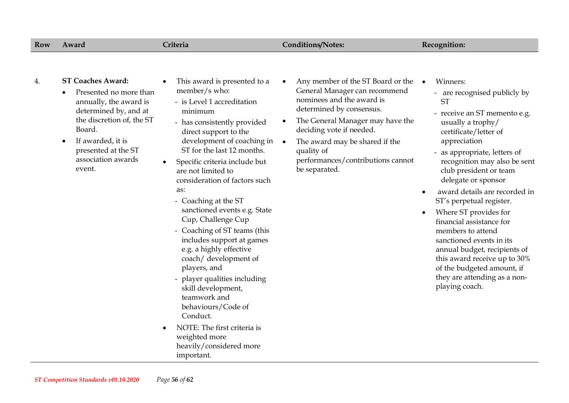| Row | Award                                                                                                                                                                                                                    | Criteria                                                                                                                                                                                                                                                                                                                                                                                                                                                                                                                                                                                                                                                                                                    | <b>Conditions/Notes:</b>                                                                                                                                                                                                                                                                                                         | Recognition:                                                                                                                                                                                                                                                                                                                                                                                                                                                                                                                                                                                                      |
|-----|--------------------------------------------------------------------------------------------------------------------------------------------------------------------------------------------------------------------------|-------------------------------------------------------------------------------------------------------------------------------------------------------------------------------------------------------------------------------------------------------------------------------------------------------------------------------------------------------------------------------------------------------------------------------------------------------------------------------------------------------------------------------------------------------------------------------------------------------------------------------------------------------------------------------------------------------------|----------------------------------------------------------------------------------------------------------------------------------------------------------------------------------------------------------------------------------------------------------------------------------------------------------------------------------|-------------------------------------------------------------------------------------------------------------------------------------------------------------------------------------------------------------------------------------------------------------------------------------------------------------------------------------------------------------------------------------------------------------------------------------------------------------------------------------------------------------------------------------------------------------------------------------------------------------------|
| 4.  | <b>ST Coaches Award:</b><br>Presented no more than<br>annually, the award is<br>determined by, and at<br>the discretion of, the ST<br>Board.<br>If awarded, it is<br>presented at the ST<br>association awards<br>event. | This award is presented to a<br>member/s who:<br>- is Level 1 accreditation<br>minimum<br>- has consistently provided<br>direct support to the<br>development of coaching in<br>ST for the last 12 months.<br>Specific criteria include but<br>are not limited to<br>consideration of factors such<br>as:<br>- Coaching at the ST<br>sanctioned events e.g. State<br>Cup, Challenge Cup<br>- Coaching of ST teams (this<br>includes support at games<br>e.g. a highly effective<br>coach/ development of<br>players, and<br>- player qualities including<br>skill development,<br>teamwork and<br>behaviours/Code of<br>Conduct.<br>NOTE: The first criteria is<br>weighted more<br>heavily/considered more | Any member of the ST Board or the<br>$\bullet$<br>General Manager can recommend<br>nominees and the award is<br>determined by consensus.<br>The General Manager may have the<br>٠<br>deciding vote if needed.<br>The award may be shared if the<br>$\bullet$<br>quality of<br>performances/contributions cannot<br>be separated. | Winners:<br>$\bullet$<br>- are recognised publicly by<br><b>ST</b><br>- receive an ST memento e.g.<br>usually a trophy/<br>certificate/letter of<br>appreciation<br>- as appropriate, letters of<br>recognition may also be sent<br>club president or team<br>delegate or sponsor<br>award details are recorded in<br>ST's perpetual register.<br>Where ST provides for<br>$\bullet$<br>financial assistance for<br>members to attend<br>sanctioned events in its<br>annual budget, recipients of<br>this award receive up to 30%<br>of the budgeted amount, if<br>they are attending as a non-<br>playing coach. |

important.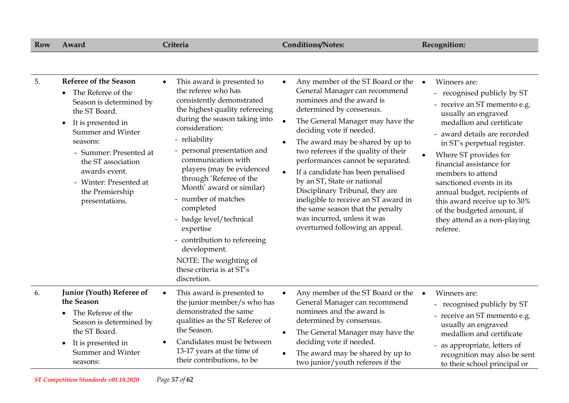| Row | Award                                                                                                                                                                                                                                                                                                           | Criteria                                                                                                                                                                                                                                                                                                                                                                                                                                                                                                                      | <b>Conditions/Notes:</b>                                                                                                                                                                                                                                                                                                                                                                                                                                                                                                                                                                                 | Recognition:                                                                                                                                                                                                                                                                                                                                                                                                                                              |
|-----|-----------------------------------------------------------------------------------------------------------------------------------------------------------------------------------------------------------------------------------------------------------------------------------------------------------------|-------------------------------------------------------------------------------------------------------------------------------------------------------------------------------------------------------------------------------------------------------------------------------------------------------------------------------------------------------------------------------------------------------------------------------------------------------------------------------------------------------------------------------|----------------------------------------------------------------------------------------------------------------------------------------------------------------------------------------------------------------------------------------------------------------------------------------------------------------------------------------------------------------------------------------------------------------------------------------------------------------------------------------------------------------------------------------------------------------------------------------------------------|-----------------------------------------------------------------------------------------------------------------------------------------------------------------------------------------------------------------------------------------------------------------------------------------------------------------------------------------------------------------------------------------------------------------------------------------------------------|
|     |                                                                                                                                                                                                                                                                                                                 |                                                                                                                                                                                                                                                                                                                                                                                                                                                                                                                               |                                                                                                                                                                                                                                                                                                                                                                                                                                                                                                                                                                                                          |                                                                                                                                                                                                                                                                                                                                                                                                                                                           |
| 5.  | <b>Referee of the Season</b><br>The Referee of the<br>$\bullet$<br>Season is determined by<br>the ST Board.<br>It is presented in<br>$\bullet$<br>Summer and Winter<br>seasons:<br>- Summer: Presented at<br>the ST association<br>awards event.<br>- Winter: Presented at<br>the Premiership<br>presentations. | This award is presented to<br>the referee who has<br>consistently demonstrated<br>the highest quality refereeing<br>during the season taking into<br>consideration:<br>- reliability<br>personal presentation and<br>communication with<br>players (may be evidenced<br>through 'Referee of the<br>Month' award or similar)<br>- number of matches<br>completed<br>- badge level/technical<br>expertise<br>- contribution to refereeing<br>development.<br>NOTE: The weighting of<br>these criteria is at ST's<br>discretion. | Any member of the ST Board or the<br>General Manager can recommend<br>nominees and the award is<br>determined by consensus.<br>The General Manager may have the<br>$\bullet$<br>deciding vote if needed.<br>The award may be shared by up to<br>$\bullet$<br>two referees if the quality of their<br>performances cannot be separated.<br>If a candidate has been penalised<br>$\bullet$<br>by an ST, State or national<br>Disciplinary Tribunal, they are<br>ineligible to receive an ST award in<br>the same season that the penalty<br>was incurred, unless it was<br>overturned following an appeal. | Winners are:<br>$\bullet$<br>recognised publicly by ST<br>- receive an ST memento e.g.<br>usually an engraved<br>medallion and certificate<br>- award details are recorded<br>in ST's perpetual register.<br>Where ST provides for<br>financial assistance for<br>members to attend<br>sanctioned events in its<br>annual budget, recipients of<br>this award receive up to 30%<br>of the budgeted amount, if<br>they attend as a non-playing<br>referee. |
| 6.  | Junior (Youth) Referee of<br>the Season<br>The Referee of the<br>Season is determined by<br>the ST Board.<br>It is presented in<br>$\bullet$<br>Summer and Winter<br>seasons:                                                                                                                                   | This award is presented to<br>$\bullet$<br>the junior member/s who has<br>demonstrated the same<br>qualities as the ST Referee of<br>the Season.<br>Candidates must be between<br>13-17 years at the time of<br>their contributions, to be                                                                                                                                                                                                                                                                                    | Any member of the ST Board or the<br>$\bullet$<br>General Manager can recommend<br>nominees and the award is<br>determined by consensus.<br>The General Manager may have the<br>$\bullet$<br>deciding vote if needed.<br>The award may be shared by up to<br>two junior/youth referees if the                                                                                                                                                                                                                                                                                                            | Winners are:<br>$\bullet$<br>recognised publicly by ST<br>- receive an ST memento e.g.<br>usually an engraved<br>medallion and certificate<br>- as appropriate, letters of<br>recognition may also be sent<br>to their school principal or                                                                                                                                                                                                                |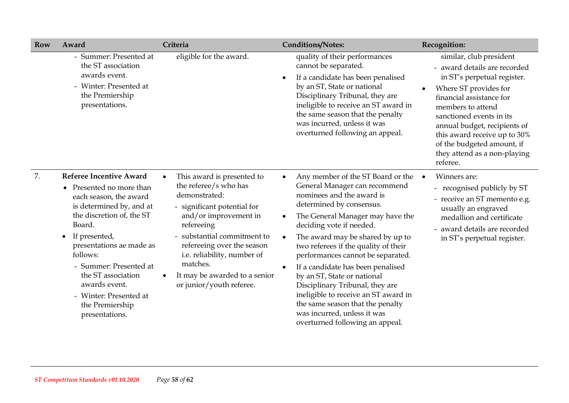| <b>Row</b> | Award                                                                                                                                                                                                                                                                                                                                                      | Criteria                                                                                                                                                                                                                                                                                                        | <b>Conditions/Notes:</b>                                                                                                                                                                                                                                                                                                                                                                                                                                                                                                                                                                                 | Recognition:                                                                                                                                                                                                                                                                                                                           |
|------------|------------------------------------------------------------------------------------------------------------------------------------------------------------------------------------------------------------------------------------------------------------------------------------------------------------------------------------------------------------|-----------------------------------------------------------------------------------------------------------------------------------------------------------------------------------------------------------------------------------------------------------------------------------------------------------------|----------------------------------------------------------------------------------------------------------------------------------------------------------------------------------------------------------------------------------------------------------------------------------------------------------------------------------------------------------------------------------------------------------------------------------------------------------------------------------------------------------------------------------------------------------------------------------------------------------|----------------------------------------------------------------------------------------------------------------------------------------------------------------------------------------------------------------------------------------------------------------------------------------------------------------------------------------|
|            | Summer: Presented at<br>the ST association<br>awards event.<br>- Winter: Presented at<br>the Premiership<br>presentations.                                                                                                                                                                                                                                 | eligible for the award.                                                                                                                                                                                                                                                                                         | quality of their performances<br>cannot be separated.<br>If a candidate has been penalised<br>$\bullet$<br>by an ST, State or national<br>Disciplinary Tribunal, they are<br>ineligible to receive an ST award in<br>the same season that the penalty<br>was incurred, unless it was<br>overturned following an appeal.                                                                                                                                                                                                                                                                                  | similar, club president<br>- award details are recorded<br>in ST's perpetual register.<br>Where ST provides for<br>financial assistance for<br>members to attend<br>sanctioned events in its<br>annual budget, recipients of<br>this award receive up to 30%<br>of the budgeted amount, if<br>they attend as a non-playing<br>referee. |
| 7.         | <b>Referee Incentive Award</b><br>• Presented no more than<br>each season, the award<br>is determined by, and at<br>the discretion of, the ST<br>Board.<br>$\bullet$ If presented,<br>presentations ae made as<br>follows:<br>- Summer: Presented at<br>the ST association<br>awards event.<br>- Winter: Presented at<br>the Premiership<br>presentations. | This award is presented to<br>the referee/s who has<br>demonstrated:<br>- significant potential for<br>and/or improvement in<br>refereeing<br>- substantial commitment to<br>refereeing over the season<br>i.e. reliability, number of<br>matches.<br>It may be awarded to a senior<br>or junior/youth referee. | Any member of the ST Board or the<br>$\bullet$<br>General Manager can recommend<br>nominees and the award is<br>determined by consensus.<br>The General Manager may have the<br>$\bullet$<br>deciding vote if needed.<br>The award may be shared by up to<br>two referees if the quality of their<br>performances cannot be separated.<br>If a candidate has been penalised<br>$\bullet$<br>by an ST, State or national<br>Disciplinary Tribunal, they are<br>ineligible to receive an ST award in<br>the same season that the penalty<br>was incurred, unless it was<br>overturned following an appeal. | Winners are:<br>recognised publicly by ST<br>- receive an ST memento e.g.<br>usually an engraved<br>medallion and certificate<br>- award details are recorded<br>in ST's perpetual register.                                                                                                                                           |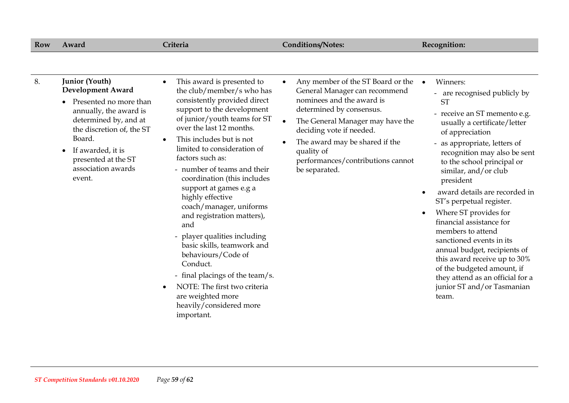| <b>Junior (Youth)</b><br>8.<br>This award is presented to<br>Any member of the ST Board or the<br>Winners:<br>$\bullet$<br><b>Development Award</b><br>the club/member/s who has<br>General Manager can recommend<br>- are recognised publicly by<br>nominees and the award is<br>consistently provided direct<br>Presented no more than<br><b>ST</b><br>support to the development<br>determined by consensus.<br>annually, the award is<br>- receive an ST memento e.g.<br>of junior/youth teams for ST<br>determined by, and at<br>The General Manager may have the<br>usually a certificate/letter<br>over the last 12 months.<br>the discretion of, the ST<br>deciding vote if needed.<br>of appreciation<br>Board.<br>This includes but is not<br>$\bullet$<br>The award may be shared if the<br>- as appropriate, letters of<br>limited to consideration of<br>If awarded, it is<br>quality of<br>recognition may also be sent<br>factors such as:<br>presented at the ST<br>performances/contributions cannot<br>to the school principal or<br>association awards<br>- number of teams and their<br>be separated.<br>similar, and/or club<br>event.<br>coordination (this includes<br>president<br>support at games e.g a<br>award details are recorded in<br>highly effective<br>ST's perpetual register.<br>coach/manager, uniforms<br>Where ST provides for<br>$\bullet$<br>and registration matters),<br>financial assistance for<br>and<br>members to attend<br>- player qualities including<br>sanctioned events in its<br>basic skills, teamwork and<br>annual budget, recipients of<br>behaviours/Code of<br>this award receive up to 30%<br>Conduct.<br>of the budgeted amount, if<br>- final placings of the team/s.<br>they attend as an official for a<br>NOTE: The first two criteria<br>junior ST and/or Tasmanian<br>$\bullet$<br>are weighted more<br>team.<br>heavily/considered more<br>important. |
|------------------------------------------------------------------------------------------------------------------------------------------------------------------------------------------------------------------------------------------------------------------------------------------------------------------------------------------------------------------------------------------------------------------------------------------------------------------------------------------------------------------------------------------------------------------------------------------------------------------------------------------------------------------------------------------------------------------------------------------------------------------------------------------------------------------------------------------------------------------------------------------------------------------------------------------------------------------------------------------------------------------------------------------------------------------------------------------------------------------------------------------------------------------------------------------------------------------------------------------------------------------------------------------------------------------------------------------------------------------------------------------------------------------------------------------------------------------------------------------------------------------------------------------------------------------------------------------------------------------------------------------------------------------------------------------------------------------------------------------------------------------------------------------------------------------------------------------------------------------------------------------------------------------------------|
|                                                                                                                                                                                                                                                                                                                                                                                                                                                                                                                                                                                                                                                                                                                                                                                                                                                                                                                                                                                                                                                                                                                                                                                                                                                                                                                                                                                                                                                                                                                                                                                                                                                                                                                                                                                                                                                                                                                              |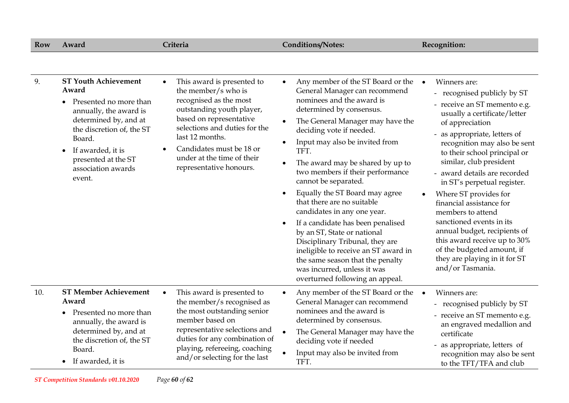| <b>Row</b> | Award                                                                                                                                                                                                                                             | Criteria                                                                                                                                                                                                                                                                                  | <b>Conditions/Notes:</b>                                                                                                                                                                                                                                                                                                                                                                                                                                                                                                                                                                                                                                                                               | Recognition:                                                                                                                                                                                                                                                                                                                                                                                                                                                                                                                                                                                                |
|------------|---------------------------------------------------------------------------------------------------------------------------------------------------------------------------------------------------------------------------------------------------|-------------------------------------------------------------------------------------------------------------------------------------------------------------------------------------------------------------------------------------------------------------------------------------------|--------------------------------------------------------------------------------------------------------------------------------------------------------------------------------------------------------------------------------------------------------------------------------------------------------------------------------------------------------------------------------------------------------------------------------------------------------------------------------------------------------------------------------------------------------------------------------------------------------------------------------------------------------------------------------------------------------|-------------------------------------------------------------------------------------------------------------------------------------------------------------------------------------------------------------------------------------------------------------------------------------------------------------------------------------------------------------------------------------------------------------------------------------------------------------------------------------------------------------------------------------------------------------------------------------------------------------|
|            |                                                                                                                                                                                                                                                   |                                                                                                                                                                                                                                                                                           |                                                                                                                                                                                                                                                                                                                                                                                                                                                                                                                                                                                                                                                                                                        |                                                                                                                                                                                                                                                                                                                                                                                                                                                                                                                                                                                                             |
| 9.         | <b>ST Youth Achievement</b><br>Award<br>Presented no more than<br>annually, the award is<br>determined by, and at<br>the discretion of, the ST<br>Board.<br>If awarded, it is<br>$\bullet$<br>presented at the ST<br>association awards<br>event. | This award is presented to<br>the member/s who is<br>recognised as the most<br>outstanding youth player,<br>based on representative<br>selections and duties for the<br>last 12 months.<br>Candidates must be 18 or<br>$\bullet$<br>under at the time of their<br>representative honours. | Any member of the ST Board or the<br>$\bullet$<br>General Manager can recommend<br>nominees and the award is<br>determined by consensus.<br>The General Manager may have the<br>deciding vote if needed.<br>Input may also be invited from<br>TFT.<br>The award may be shared by up to<br>two members if their performance<br>cannot be separated.<br>Equally the ST Board may agree<br>that there are no suitable<br>candidates in any one year.<br>If a candidate has been penalised<br>by an ST, State or national<br>Disciplinary Tribunal, they are<br>ineligible to receive an ST award in<br>the same season that the penalty<br>was incurred, unless it was<br>overturned following an appeal. | Winners are:<br>$\bullet$<br>- recognised publicly by ST<br>- receive an ST memento e.g.<br>usually a certificate/letter<br>of appreciation<br>- as appropriate, letters of<br>recognition may also be sent<br>to their school principal or<br>similar, club president<br>- award details are recorded<br>in ST's perpetual register.<br>Where ST provides for<br>$\bullet$<br>financial assistance for<br>members to attend<br>sanctioned events in its<br>annual budget, recipients of<br>this award receive up to 30%<br>of the budgeted amount, if<br>they are playing in it for ST<br>and/or Tasmania. |
| 10.        | <b>ST Member Achievement</b><br>Award<br>Presented no more than<br>annually, the award is<br>determined by, and at<br>the discretion of, the ST<br>Board.<br>• If awarded, it is                                                                  | This award is presented to<br>$\bullet$<br>the member/s recognised as<br>the most outstanding senior<br>member based on<br>representative selections and<br>duties for any combination of<br>playing, refereeing, coaching<br>and/or selecting for the last                               | Any member of the ST Board or the<br>$\bullet$<br>General Manager can recommend<br>nominees and the award is<br>determined by consensus.<br>The General Manager may have the<br>deciding vote if needed<br>Input may also be invited from<br>TFT.                                                                                                                                                                                                                                                                                                                                                                                                                                                      | Winners are:<br>$\bullet$<br>- recognised publicly by ST<br>- receive an ST memento e.g.<br>an engraved medallion and<br>certificate<br>- as appropriate, letters of<br>recognition may also be sent<br>to the TFT/TFA and club                                                                                                                                                                                                                                                                                                                                                                             |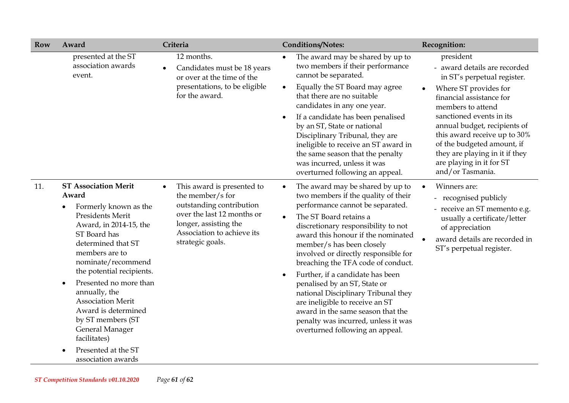| <b>Row</b> | Award                                                                                                                                                                                                                                                                                                                                                                                                                                  | Criteria                                                                                                                                                                            | <b>Conditions/Notes:</b>                                                                                                                                                                                                                                                                                                                                                                                                                                                                                                                                                                                | Recognition:                                                                                                                                                                                                                                                                                                                                                   |
|------------|----------------------------------------------------------------------------------------------------------------------------------------------------------------------------------------------------------------------------------------------------------------------------------------------------------------------------------------------------------------------------------------------------------------------------------------|-------------------------------------------------------------------------------------------------------------------------------------------------------------------------------------|---------------------------------------------------------------------------------------------------------------------------------------------------------------------------------------------------------------------------------------------------------------------------------------------------------------------------------------------------------------------------------------------------------------------------------------------------------------------------------------------------------------------------------------------------------------------------------------------------------|----------------------------------------------------------------------------------------------------------------------------------------------------------------------------------------------------------------------------------------------------------------------------------------------------------------------------------------------------------------|
|            | presented at the ST<br>association awards<br>event.                                                                                                                                                                                                                                                                                                                                                                                    | 12 months.<br>Candidates must be 18 years<br>$\bullet$<br>or over at the time of the<br>presentations, to be eligible<br>for the award.                                             | The award may be shared by up to<br>$\bullet$<br>two members if their performance<br>cannot be separated.<br>Equally the ST Board may agree<br>$\bullet$<br>that there are no suitable<br>candidates in any one year.<br>If a candidate has been penalised<br>by an ST, State or national<br>Disciplinary Tribunal, they are<br>ineligible to receive an ST award in<br>the same season that the penalty<br>was incurred, unless it was<br>overturned following an appeal.                                                                                                                              | president<br>- award details are recorded<br>in ST's perpetual register.<br>Where ST provides for<br>financial assistance for<br>members to attend<br>sanctioned events in its<br>annual budget, recipients of<br>this award receive up to 30%<br>of the budgeted amount, if<br>they are playing in it if they<br>are playing in it for ST<br>and/or Tasmania. |
| 11.        | <b>ST Association Merit</b><br>Award<br>Formerly known as the<br>Presidents Merit<br>Award, in 2014-15, the<br>ST Board has<br>determined that ST<br>members are to<br>nominate/recommend<br>the potential recipients.<br>Presented no more than<br>$\bullet$<br>annually, the<br><b>Association Merit</b><br>Award is determined<br>by ST members (ST<br>General Manager<br>facilitates)<br>Presented at the ST<br>association awards | This award is presented to<br>the member/s for<br>outstanding contribution<br>over the last 12 months or<br>longer, assisting the<br>Association to achieve its<br>strategic goals. | The award may be shared by up to<br>$\bullet$<br>two members if the quality of their<br>performance cannot be separated.<br>The ST Board retains a<br>discretionary responsibility to not<br>award this honour if the nominated<br>member/s has been closely<br>involved or directly responsible for<br>breaching the TFA code of conduct.<br>Further, if a candidate has been<br>penalised by an ST, State or<br>national Disciplinary Tribunal they<br>are ineligible to receive an ST<br>award in the same season that the<br>penalty was incurred, unless it was<br>overturned following an appeal. | Winners are:<br>recognised publicly<br>- receive an ST memento e.g.<br>usually a certificate/letter<br>of appreciation<br>award details are recorded in<br>ST's perpetual register.                                                                                                                                                                            |